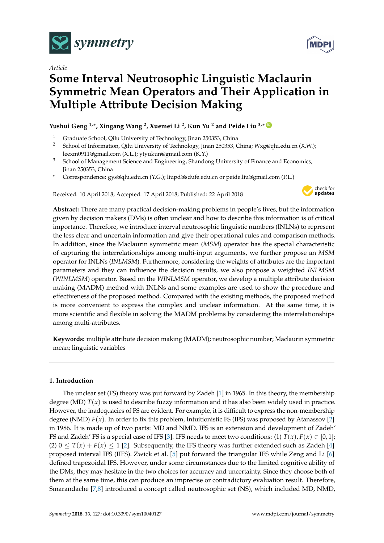

*Article*

# **Some Interval Neutrosophic Linguistic Maclaurin Symmetric Mean Operators and Their Application in Multiple Attribute Decision Making**

# **Yushui Geng 1,\*, Xingang Wang <sup>2</sup> , Xuemei Li <sup>2</sup> , Kun Yu <sup>2</sup> and Peide Liu 3,\* [ID](https://orcid.org/0000-0001-5048-8145)**

- <sup>1</sup> Graduate School, Qilu University of Technology, Jinan 250353, China<br><sup>2</sup> School of Information. Qilu University of Technology, Jinan 250353, G
- <sup>2</sup> School of Information, Qilu University of Technology, Jinan 250353, China; Wxg@qlu.edu.cn (X.W.); leexm0911@gmail.com (X.L.); ytyukun@gmail.com (K.Y.)
- <sup>3</sup> School of Management Science and Engineering, Shandong University of Finance and Economics, Jinan 250353, China
- **\*** Correspondence: gys@qlu.edu.cn (Y.G.); liupd@sdufe.edu.cn or peide.liu@gmail.com (P.L.)

Received: 10 April 2018; Accepted: 17 April 2018; Published: 22 April 2018



**Abstract:** There are many practical decision-making problems in people's lives, but the information given by decision makers (DMs) is often unclear and how to describe this information is of critical importance. Therefore, we introduce interval neutrosophic linguistic numbers (INLNs) to represent the less clear and uncertain information and give their operational rules and comparison methods. In addition, since the Maclaurin symmetric mean (*MSM*) operator has the special characteristic of capturing the interrelationships among multi-input arguments, we further propose an *MSM* operator for INLNs (*INLMSM*). Furthermore, considering the weights of attributes are the important parameters and they can influence the decision results, we also propose a weighted *INLMSM* (*WINLMSM*) operator. Based on the *WINLMSM* operator, we develop a multiple attribute decision making (MADM) method with INLNs and some examples are used to show the procedure and effectiveness of the proposed method. Compared with the existing methods, the proposed method is more convenient to express the complex and unclear information. At the same time, it is more scientific and flexible in solving the MADM problems by considering the interrelationships among multi-attributes.

**Keywords:** multiple attribute decision making (MADM); neutrosophic number; Maclaurin symmetric mean; linguistic variables

# **1. Introduction**

The unclear set (FS) theory was put forward by Zadeh [\[1\]](#page-21-0) in 1965. In this theory, the membership degree (MD)  $T(x)$  is used to describe fuzzy information and it has also been widely used in practice. However, the inadequacies of FS are evident. For example, it is difficult to express the non-membership degree (NMD)  $F(x)$ . In order to fix this problem, Intuitionistic FS (IFS) was proposed by Atanassov [\[2\]](#page-21-1) in 1986. It is made up of two parts: MD and NMD. IFS is an extension and development of Zadeh' FS and Zadeh' FS is a special case of IFS [\[3\]](#page-21-2). IFS needs to meet two conditions: (1)  $T(x)$ ,  $F(x) \in [0,1]$ ; (2)  $0 \leq T(x) + F(x) \leq 1$  [\[2\]](#page-21-1). Subsequently, the IFS theory was further extended such as Zadeh [\[4\]](#page-21-3) proposed interval IFS (IIFS). Zwick et al. [\[5\]](#page-21-4) put forward the triangular IFS while Zeng and Li [\[6\]](#page-21-5) defined trapezoidal IFS. However, under some circumstances due to the limited cognitive ability of the DMs, they may hesitate in the two choices for accuracy and uncertainty. Since they choose both of them at the same time, this can produce an imprecise or contradictory evaluation result. Therefore, Smarandache [\[7](#page-21-6)[,8\]](#page-21-7) introduced a concept called neutrosophic set (NS), which included MD, NMD,

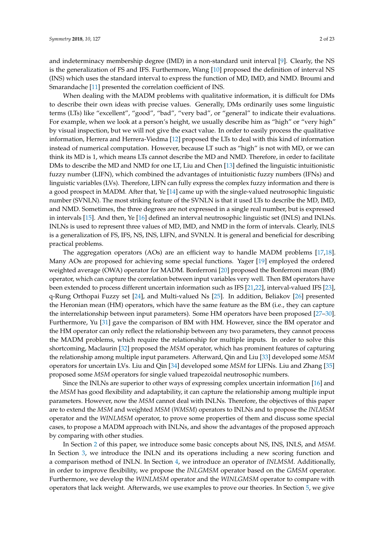and indeterminacy membership degree (IMD) in a non-standard unit interval [\[9\]](#page-21-8). Clearly, the NS is the generalization of FS and IFS. Furthermore, Wang [\[10\]](#page-21-9) proposed the definition of interval NS (INS) which uses the standard interval to express the function of MD, IMD, and NMD. Broumi and Smarandache [\[11\]](#page-21-10) presented the correlation coefficient of INS.

When dealing with the MADM problems with qualitative information, it is difficult for DMs to describe their own ideas with precise values. Generally, DMs ordinarily uses some linguistic terms (LTs) like "excellent", "good", "bad", "very bad", or "general" to indicate their evaluations. For example, when we look at a person's height, we usually describe him as "high" or "very high" by visual inspection, but we will not give the exact value. In order to easily process the qualitative information, Herrera and Herrera-Viedma [\[12\]](#page-21-11) proposed the LTs to deal with this kind of information instead of numerical computation. However, because LT such as "high" is not with MD, or we can think its MD is 1, which means LTs cannot describe the MD and NMD. Therefore, in order to facilitate DMs to describe the MD and NMD for one LT, Liu and Chen [\[13\]](#page-21-12) defined the linguistic intuitionistic fuzzy number (LIFN), which combined the advantages of intuitionistic fuzzy numbers (IFNs) and linguistic variables (LVs). Therefore, LIFN can fully express the complex fuzzy information and there is a good prospect in MADM. After that, Ye [\[14\]](#page-21-13) came up with the single-valued neutrosophic linguistic number (SVNLN). The most striking feature of the SVNLN is that it used LTs to describe the MD, IMD, and NMD. Sometimes, the three degrees are not expressed in a single real number, but is expressed in intervals [\[15\]](#page-21-14). And then, Ye [\[16\]](#page-21-15) defined an interval neutrosophic linguistic set (INLS) and INLNs. INLNs is used to represent three values of MD, IMD, and NMD in the form of intervals. Clearly, INLS is a generalization of FS, IFS, NS, INS, LIFN, and SVNLN. It is general and beneficial for describing practical problems.

The aggregation operators (AOs) are an efficient way to handle MADM problems [\[17,](#page-21-16)[18\]](#page-21-17). Many AOs are proposed for achieving some special functions. Yager [\[19\]](#page-21-18) employed the ordered weighted average (OWA) operator for MADM. Bonferroni [\[20\]](#page-21-19) proposed the Bonferroni mean (BM) operator, which can capture the correlation between input variables very well. Then BM operators have been extended to process different uncertain information such as IFS [\[21](#page-21-20)[,22\]](#page-21-21), interval-valued IFS [\[23\]](#page-21-22), q-Rung Orthopai Fuzzy set [\[24\]](#page-21-23), and Multi-valued Ns [\[25\]](#page-21-24). In addition, Beliakov [\[26\]](#page-21-25) presented the Heronian mean (HM) operators, which have the same feature as the BM (i.e., they can capture the interrelationship between input parameters). Some HM operators have been proposed [\[27–](#page-21-26)[30\]](#page-22-0). Furthermore, Yu [\[31\]](#page-22-1) gave the comparison of BM with HM. However, since the BM operator and the HM operator can only reflect the relationship between any two parameters, they cannot process the MADM problems, which require the relationship for multiple inputs. In order to solve this shortcoming, Maclaurin [\[32\]](#page-22-2) proposed the *MSM* operator, which has prominent features of capturing the relationship among multiple input parameters. Afterward, Qin and Liu [\[33\]](#page-22-3) developed some *MSM* operators for uncertain LVs. Liu and Qin [\[34\]](#page-22-4) developed some *MSM* for LIFNs. Liu and Zhang [\[35\]](#page-22-5) proposed some *MSM* operators for single valued trapezoidal neutrosophic numbers.

Since the INLNs are superior to other ways of expressing complex uncertain information [\[16\]](#page-21-15) and the *MSM* has good flexibility and adaptability, it can capture the relationship among multiple input parameters. However, now the *MSM* cannot deal with INLNs. Therefore, the objectives of this paper are to extend the *MSM* and weighted *MSM* (*WMSM*) operators to INLNs and to propose the *INLMSM* operator and the *WINLMSM* operator, to prove some properties of them and discuss some special cases, to propose a MADM approach with INLNs, and show the advantages of the proposed approach by comparing with other studies.

In Section [2](#page-2-0) of this paper, we introduce some basic concepts about NS, INS, INLS, and *MSM*. In Section [3,](#page-4-0) we introduce the INLN and its operations including a new scoring function and a comparison method of INLN. In Section [4,](#page-6-0) we introduce an operator of *INLMSM*. Additionally, in order to improve flexibility, we propose the *INLGMSM* operator based on the *GMSM* operator. Furthermore, we develop the *WINLMSM* operator and the *WINLGMSM* operator to compare with operators that lack weight. Afterwards, we use examples to prove our theories. In Section [5,](#page-16-0) we give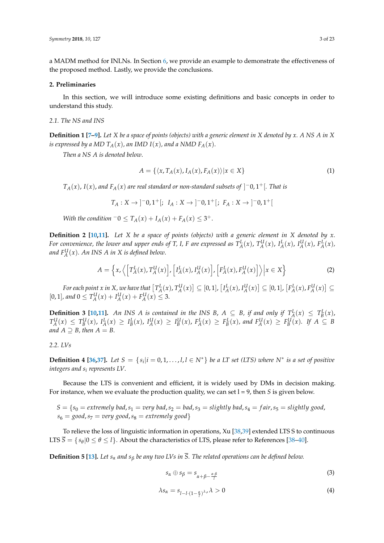a MADM method for INLNs. In Section [6,](#page-16-1) we provide an example to demonstrate the effectiveness of the proposed method. Lastly, we provide the conclusions.

## <span id="page-2-0"></span>**2. Preliminaries**

In this section, we will introduce some existing definitions and basic concepts in order to understand this study.

## *2.1. The NS and INS*

**Definition 1 [\[7–](#page-21-6)[9\]](#page-21-8).** *Let X be a space of points (objects) with a generic element in X denoted by x. A NS A in X is expressed by a MD*  $T_A(x)$ *, an IMD*  $I(x)$ *, and a NMD*  $F_A(x)$ *.* 

*Then a NS A is denoted below*.

$$
A = \{ \langle x, T_A(x), I_A(x), F_A(x) \rangle | x \in X \}
$$
\n<sup>(1)</sup>

*TA*(*x*), *I*(*x*), *and FA*(*x*) *are real standard or non-standard subsets of* ] <sup>−</sup>0, 1+[*. That is*

$$
T_A:X\to ]^-0,1^+[;\ I_A:X\to ]^-0,1^+[;\ F_A:X\to ]^-0,1^+[
$$

*With the condition*  $-0 \le T_A(x) + I_A(x) + F_A(x) \le 3^+$ .

**Definition 2 [\[10,](#page-21-9)[11\]](#page-21-10).** *Let X be a space of points (objects) with a generic element in X denoted by x.* For convenience, the lower and upper ends of T, I, F are expressed as  $T_A^L(x)$ ,  $T_A^U(x)$ ,  $I_A^L(x)$ ,  $I_A^L(x)$ ,  $F_A^L(x)$ , and  $F_A^{\text{U}}(x)$ . An INS A in X is defined below.

$$
A = \left\{ x, \left\langle \left[ T_A^L(x), T_A^U(x) \right], \left[ I_A^L(x), I_A^U(x) \right], \left[ F_A^L(x), F_A^U(x) \right] \right\rangle \middle| x \in X \right\}
$$
 (2)

For each point x in X, we have that  $[T_A^L(x),T_A^U(x)]\subseteq [0,1]$ ,  $[I_A^L(x),I_A^U(x)]\subseteq [0,1]$ ,  $[F_A^L(x),F_A^U(x)]\subseteq$  $[0, 1]$ , and  $0 \le T_A^U(x) + I_A^U(x) + F_A^U(x) \le 3$ .

**Definition 3 [\[10](#page-21-9)[,11\]](#page-21-10).** An INS A is contained in the INS B,  $A \subseteq B$ , if and only if  $T_A^L(x) \leq T_B^L(x)$ ,  $T_A^U(x) \leq T_B^U(x)$ ,  $I_A^L(x) \geq I_B^L(x)$ ,  $I_A^U(x) \geq I_B^U(x)$ ,  $F_A^L(x) \geq F_B^L(x)$ , and  $F_A^U(x) \geq F_B^U(x)$ . If  $A \subseteq B$ *and*  $A \supseteq B$ *, then*  $A = B$ *.* 

## *2.2. LVs*

**Definition 4 [\[36](#page-22-6)[,37\]](#page-22-7).** Let  $S = \{s_i | i = 0, 1, \ldots, l, l \in N^*\}$  be a LT set (LTS) where  $N^*$  is a set of positive *integers and s<sup>i</sup> represents LV*.

Because the LTS is convenient and efficient, it is widely used by DMs in decision making. For instance, when we evaluate the production quality, we can set l = 9, then *S* is given below.

$$
S = \{s_0 = extremely bad, s_1 = very bad, s_2 = bad, s_3 = slightly bad, s_4 = fair, s_5 = slightly good, s_6 = good, s_7 = very good, s_8 = extremely good\}
$$

To relieve the loss of linguistic information in operations, Xu [\[38,](#page-22-8)[39\]](#page-22-9) extended LTS S to continuous LTS  $\overline{S} = \{ s_{\theta} | 0 \le \theta \le l \}$ . About the characteristics of LTS, please refer to References [\[38](#page-22-8)[–40\]](#page-22-10).

**Definition 5 [\[13\]](#page-21-12).** *Let s<sup>α</sup> and s<sup>β</sup> be any two LVs in S. The related operations can be defined below.*

$$
s_{\alpha} \oplus s_{\beta} = s_{\alpha + \beta - \frac{\alpha \cdot \beta}{l}} \tag{3}
$$

$$
\lambda s_{\alpha} = s_{l-l \cdot (1 - \frac{\alpha}{l})^{\lambda}}, \lambda > 0 \tag{4}
$$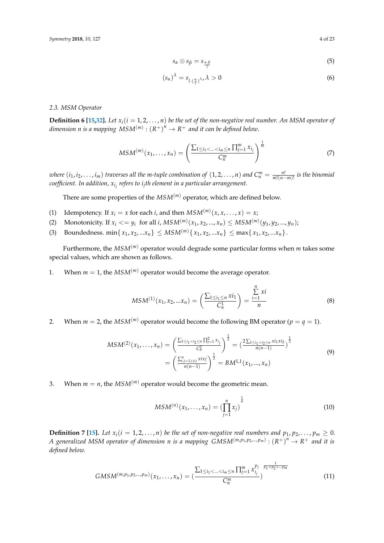$$
s_{\alpha} \otimes s_{\beta} = s_{\frac{\alpha \cdot \beta}{l}} \tag{5}
$$

$$
(s_{\alpha})^{\lambda} = s_{l \cdot (\frac{\alpha}{l})^{\lambda}}, \lambda > 0
$$
 (6)

### *2.3. MSM Operator*

**Definition 6 [\[15](#page-21-14)[,32\]](#page-22-2).** *Let*  $x_i$  ( $i = 1, 2, ..., n$ ) *be the set of the non-negative real number. An MSM operator of*  $d$ imension  $n$  is a mapping  $MSM^{(m)}: \left( R^+ \right)^n \rightarrow R^+$  and it can be defined below.

$$
MSM^{(m)}(x_1, \ldots, x_n) = \left(\frac{\sum_{1 \le i_1 < \ldots < i_m \le n} \prod_{j=1}^m x_{i_j}}{C_n^m}\right)^{\frac{1}{m}} \tag{7}
$$

where  $(i_1,i_2,\ldots,i_m)$  traverses all the m-tuple combination of  $(1,2,\ldots,n)$  and  $C_n^m=\frac{n!}{m!(n-m)!}$  is the binomial *coefficient. In addition, x<sup>i</sup> j refers to i<sup>j</sup> th element in a particular arrangement.*

There are some properties of the *MSM*(*m*) operator, which are defined below.

- (1) Idempotency. If  $x_i = x$  for each *i*, and then  $MSM^{(m)}(x, x, \dots, x) = x;$
- (2) Monotonicity. If  $x_i \le y_i$  for all *i*,  $MSM^{(m)}(x_1, x_2, ..., x_n) \le MSM^{(m)}(y_1, y_2, ..., y_n)$ ;
- (3) Boundedness. min $\{x_1, x_2, ... x_n\} \leq MSM^{(m)}\{x_1, x_2, ... x_n\} \leq \max\{x_1, x_2, ... x_n\}.$

Furthermore, the *MSM*(*m*) operator would degrade some particular forms when *m* takes some special values, which are shown as follows.

1. When  $m = 1$ , the  $MSM^{(m)}$  operator would become the average operator.

$$
MSM^{(1)}(x_1, x_2, ... x_n) = \left(\frac{\sum_{1 \le i_1 \le n} x i_1}{C_n^1}\right) = \frac{\sum_{i=1}^n x i}{n}
$$
(8)

2. When  $m = 2$ , the  $MSM^{(m)}$  operator would become the following BM operator ( $p = q = 1$ ).

$$
MSM^{(2)}(x_1, \ldots, x_n) = \left(\frac{\sum_{1 \le i_1 < i_2 \le n} \prod_{j=1}^2 x_{i_j}}{C_n^2}\right)^{\frac{1}{2}} = \left(\frac{2\sum_{1 \le i_1 < i_2 \le n} x_{i_1} x_{i_2}}{n(n-1)}\right)^{\frac{1}{2}}
$$
\n
$$
= \left(\frac{\sum_{i,j=1, i \ne j}^n x_{i_1} x_{i_2}}{n(n-1)}\right)^{\frac{1}{2}} = BM^{1,1}(x_1, \ldots, x_n)
$$
\n
$$
(9)
$$

3. When  $m = n$ , the  $MSM^{(m)}$  operator would become the geometric mean.

$$
MSM^{(n)}(x_1, \ldots, x_n) = \left(\prod_{j=1}^n x_j\right)^{\frac{1}{n}}
$$
 (10)

**Definition 7 [\[15\]](#page-21-14).** Let  $x_i(i = 1, 2, ..., n)$  be the set of non-negative real numbers and  $p_1, p_2, ..., p_m \ge 0$ . *A* generalized MSM operator of dimension *n* is a mapping  $GMSM^{(m,p_1,p_2,...,p_m)} : (R^+)^n \to R^+$  and it is *defined below.*

$$
GMSM^{(m,p_1,p_2,\ldots,p_m)}(x_1,\ldots,x_n) = \left(\frac{\sum_{1 \le i_1 < \ldots < i_m \le n} \prod_{j=1}^m x_{i_j}^{p_j} \, \frac{1}{p_1 + p_2 + \ldots + p_m}}{C_n^m}\right) \tag{11}
$$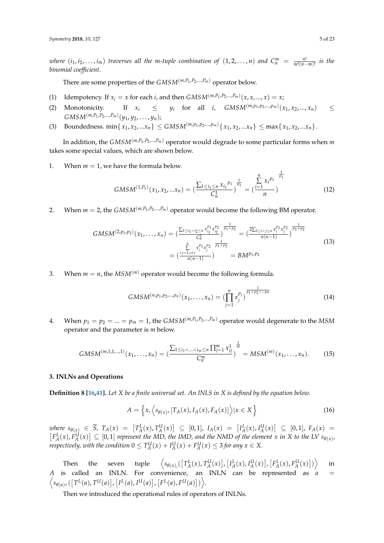where  $(i_1, i_2, \ldots, i_m)$  traverses all the m-tuple combination of  $(1, 2, \ldots, n)$  and  $C_n^m = \frac{n!}{m!(n-m)!}$  is the *binomial coefficient*.

There are some properties of the *GMSM*(*m*,*P*<sup>1</sup> ,*P*2,...,*Pm*) operator below.

- (1) Idempotency. If  $x_i = x$  for each *i*, and then  $GMSM^{(m,P_1,P_2,...,P_m)}(x, x, ..., x) = x;$
- (2) Monotonicity. If  $x_i \leq y_i$  for all *i*,  $GMSM^{(m,p_1,p_2,\ldots,p_m)}(x_1, x_2, \ldots, x_n) \leq$  $GMSM^{(m,P_1,P_2,...,P_m)}(y_1, y_2, \ldots, y_n);$
- (3) Boundedness. min $\{x_1, x_2, ... x_n\} \leq GMSM^{(m, p_1, p_2, ... , p_m)}\{x_1, x_2, ... x_n\} \leq \max\{x_1, x_2, ... x_n\}.$

In addition, the  $GMSM^{(m,P_1,P_2,...,P_m)}$  operator would degrade to some particular forms when  $m$ takes some special values, which are shown below.

1. When  $m = 1$ , we have the formula below.

$$
GMSM^{(1,P_1)}(x_1, x_2, ... x_n) = \left(\frac{\sum_{1 \le i_1 \le n} x_{i_1}^{p_1}}{C_n^1}\right)^{\frac{1}{p_1}} = \left(\frac{\sum_{i=1}^n x_i^{p_1}}{n}\right)^{\frac{1}{p_1}} \tag{12}
$$

1

2. When  $m = 2$ , the  $GMSM^{(m,P_1,P_2,...,P_m)}$  operator would become the following BM operator.

$$
GMSM^{(2,p_1,p_2)}(x_1,\ldots,x_n) = \left(\frac{\sum_{1 \le i_1 < i_2 \le n} x_{i_1}^{p_1} x_{i_2}^{p_2}}{C_n^2}\right)^{\frac{1}{p_1+p_2}} = \left(\frac{2\sum_{1 \le i < j \le n} x_i^{p_1} x_{j}^{p_2}}{n(n-1)}\right)^{\frac{1}{p_1+p_2}}
$$
\n
$$
= \left(\frac{i_j=1, i \ne j}{n(n-1)}\right)^{\frac{n}{p_1+p_2}} = BM^{p_1,p_2} \tag{13}
$$

3. When  $m = n$ , the  $MSM^{(m)}$  operator would become the following formula.

$$
GMSM^{(n,p_1,p_2,\ldots,p_n)}(x_1,\ldots,x_n) = \left(\prod_{j=1}^n x_j^{p_j}\right)^{\frac{1}{p_1+p_2+\ldots+p_n}}
$$
(14)

4. When  $p_1 = p_2 = ... = p_m = 1$ , the  $GMSM^{(m,P_1,P_2,...,P_m)}$  operator would degenerate to the MSM operator and the parameter is *m* below.

$$
GMSM^{(m,1,1,...,1)}(x_1,...,x_n) = \left(\frac{\sum_{1 \le i_1 < ... < i_m \le n} \prod_{j=1}^m x_{ij}^1}{C_n^m}\right)^{\frac{1}{m}} = MSM^{(m)}(x_1,...,x_n). \tag{15}
$$

## <span id="page-4-0"></span>**3. INLNs and Operations**

**Definition 8 [\[16](#page-21-15)[,41\]](#page-22-11).** *Let X be a finite universal set. An INLS in X is defined by the equation below.*

$$
A = \left\{ x, \left\langle s_{\theta(x)}, [T_A(x), I_A(x), F_A(x)] \right\rangle | x \in X \right\}
$$
 (16)

where  $s_{\theta(x)} \in \overline{S}$ ,  $T_A(x) = [T_A^L(x), T_A^U(x)] \subseteq [0,1]$ ,  $I_A(x) = [I_A^L(x), I_A^U(x)] \subseteq [0,1]$ ,  $F_A(x) =$  $[F_A^L(x), F_A^U(x)] \subseteq [0,1]$  represent the MD, the IMD, and the NMD of the element x in X to the LV  $s_{\theta(x)}$ , *respectively, with the condition*  $0 \le T_A^U(x) + I_A^U(x) + F_A^U(x) \le 3$  for any  $x \in X$ .

Then the seven tuple  $\left\langle s_{\theta(x),}([T_A^L(x), T_A^U(x)], [I_A^L(x), I_A^U(x)], [F_A^L(x), F_A^U(x)]) \right\rangle$ in *A* is called an INLN. For convenience, an INLN can be represented as *a* =  $\Big\langle s_{\theta(a)}, (\big[T^L(a), T^U(a)\big], \big[I^L(a), I^U(a)\big], \big[F^L(a), F^U(a)\big]\big)\Big\rangle.$ 

Then we introduced the operational rules of operators of INLNs.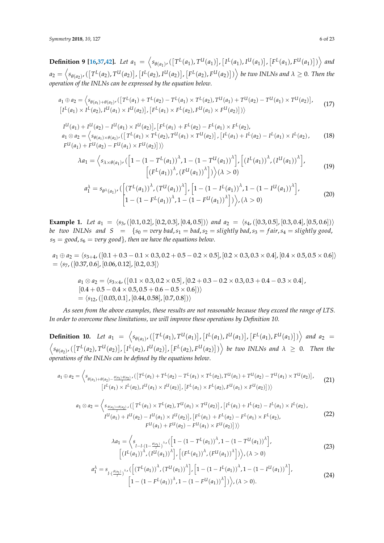**Definition 9 [\[16](#page-21-15)[,37](#page-22-7)[,42\]](#page-22-12).** Let  $a_1 = \left\langle s_{\theta(a_1)}, ([T^L(a_1), T^U(a_1)], [I^L(a_1), I^U(a_1)], [F^L(a_1), F^U(a_1)] \right\rangle$  and  $a_2=\left\langle s_{\theta(a_2)'}(\left[T^L(a_2),T^{U}(a_2)\right],\left[I^L(a_2),I^U(a_2)\right],\left[F^L(a_2),F^{U}(a_2)\right]\right)\right\rangle$  be two INLNs and  $\lambda\geq 0.$  Then the *operation of the INLNs can be expressed by the equation below*.

$$
a_1 \oplus a_2 = \left\langle s_{\theta(a_1) + \theta(a_2)} , \left( \left[ T^L(a_1) + T^L(a_2) - T^L(a_1) \times T^L(a_2) , T^U(a_1) + T^U(a_2) - T^U(a_1) \times T^U(a_2) \right] \right\rangle
$$
  
\n
$$
\left[ I^L(a_1) \times I^L(a_2) , I^U(a_1) \times I^U(a_2) \right], \left[ F^L(a_1) \times F^L(a_2) , F^U(a_1) \times T^U(a_2) \right] \right\rangle
$$
\n
$$
(17)
$$

$$
I^{U}(a_{1}) + I^{U}(a_{2}) - I^{U}(a_{1}) \times I^{U}(a_{2})], [F^{L}(a_{1}) + F^{L}(a_{2}) - F^{L}(a_{1}) \times F^{L}(a_{2}),
$$
  
\n
$$
a_{1} \otimes a_{2} = \langle s_{\theta(a_{1}) \times \theta(a_{2})}, ([T^{L}(a_{1}) \times T^{L}(a_{2}), T^{U}(a_{1}) \times T^{U}(a_{2})], [I^{L}(a_{1}) + I^{L}(a_{2}) - I^{L}(a_{1}) \times I^{L}(a_{2}),
$$
  
\n
$$
F^{U}(a_{1}) + F^{U}(a_{2}) - F^{U}(a_{1}) \times F^{U}(a_{2})])\rangle
$$
\n(18)

$$
\lambda a_1 = \left\langle s_{\lambda \times \theta(a_1)} , \left( \left[ 1 - (1 - T^L(a_1))^\lambda , 1 - (1 - T^U(a_1))^\lambda \right], \left[ \left( I^L(a_1) \right)^\lambda , \left( I^U(a_1) \right)^\lambda \right], \left[ \left( I^L(a_1) \right)^\lambda , \left( I^U(a_1) \right)^\lambda \right], \left[ \left( I^L(a_1) \right)^\lambda , \left( I^U(a_1) \right)^\lambda \right], \left[ \left( I^L(a_1) \right)^\lambda , \left( I^U(a_1) \right)^\lambda \right], \left[ \left( I^L(a_1) \right)^\lambda , \left( I^U(a_1) \right)^\lambda \right], \left[ \left( I^L(a_1) \right)^\lambda , \left( I^U(a_1) \right)^\lambda \right], \left[ \left( I^L(a_1) \right)^\lambda , \left( I^U(a_1) \right)^\lambda \right], \left[ \left( I^L(a_1) \right)^\lambda , \left( I^U(a_1) \right)^\lambda \right], \left[ \left( I^L(a_1) \right)^\lambda , \left( I^U(a_1) \right)^\lambda \right], \left[ \left( I^L(a_1) \right)^\lambda , \left( I^U(a_1) \right)^\lambda \right], \left[ \left( I^L(a_1) \right)^\lambda , \left( I^U(a_1) \right)^\lambda \right], \left[ \left( I^L(a_1) \right)^\lambda , \left( I^U(a_1) \right)^\lambda \right], \left[ \left( I^L(a_1) \right)^\lambda , \left( I^U(a_1) \right)^\lambda \right], \left[ \left( I^L(a_1) \right)^\lambda , \left( I^U(a_1) \right)^\lambda \right], \left[ \left( I^L(a_1) \right)^\lambda , \left( I^U(a_1) \right)^\lambda \right], \left[ \left( I^L(a_1) \right)^\lambda , \left( I^U(a_1) \right)^\lambda \right], \left[ \left( I^L(a_1) \right)^\lambda , \left( I^U(a_1) \right)^\lambda \right], \left[ \left( I^L(a_1) \right)^\lambda , \left( I^U(a_1) \right)^\lambda \right], \left[ \left( I^L(a_1) \right)^\lambda , \left( I^U(a_1) \right
$$

$$
a_1^{\lambda} = s_{\theta^{\lambda}(a_1)} \left( \left[ \left( T^{L}(a_1) \right)^{\lambda}, \left( T^{U}(a_1) \right)^{\lambda} \right], \left[ 1 - \left( 1 - I^{L}(a_1) \right)^{\lambda}, 1 - \left( 1 - I^{U}(a_1) \right)^{\lambda} \right], \left[ 1 - \left( 1 - F^{L}(a_1) \right)^{\lambda}, 1 - \left( 1 - F^{U}(a_1) \right)^{\lambda} \right] \right), \tag{20}
$$

**Example 1.** *Let*  $a_1 = \langle s_3, ([0.1, 0.2], [0.2, 0.3], [0.4, 0.5]) \rangle$  *and*  $a_2 = \langle s_4, ([0.3, 0.5], [0.3, 0.4], [0.5, 0.6]) \rangle$ *be two INLNs and*  $S = \{s_0 = \text{very bad}, s_1 = \text{bad}, s_2 = \text{slightly bad}, s_3 = \text{fair}, s_4 = \text{slightly good}, s_4 = \text{relightly good} \}$  $s_5 = \text{good}, s_6 = \text{very good}$ }, then we have the equations below.

 $a_1 \oplus a_2 = \langle s_{3+4}, ([0.1 + 0.3 - 0.1 \times 0.3, 0.2 + 0.5 - 0.2 \times 0.5], [0.2 \times 0.3, 0.3 \times 0.4], [0.4 \times 0.5, 0.5 \times 0.6] \rangle$  $= \langle s_7,([0.37, 0.6], [0.06, 0.12], [0.2, 0.3]\rangle$ 

$$
a_1 \otimes a_2 = \langle s_{3\times 4}, ([0.1 \times 0.3, 0.2 \times 0.5], [0.2 + 0.3 - 0.2 \times 0.3, 0.3 + 0.4 - 0.3 \times 0.4],
$$
  
\n
$$
[0.4 + 0.5 - 0.4 \times 0.5, 0.5 + 0.6 - 0.5 \times 0.6])\rangle
$$
  
\n
$$
= \langle s_{12}, ([0.03, 0.1], [0.44, 0.58], [0.7, 0.8])\rangle
$$

*As seen from the above examples, these results are not reasonable because they exceed the range of LTS. In order to overcome these limitations, we will improve these operations by Definition 10.*

**Definition 10.** Let  $a_1 = \langle s_{\theta(a_1)}, ([T^L(a_1), T^U(a_1)], [I^L(a_1), I^U(a_1)], [F^L(a_1), F^U(a_1)]) \rangle$  and  $a_2 =$  $\langle s_{\theta(a_2)}, ([T^L(a_2), T^{U}(a_2)], [I^L(a_2), I^U(a_2)], [F^L(a_2), F^U(a_2)]) \rangle$  be two INLNs and  $\lambda \geq 0$ . Then the *operations of the INLNs can be defined by the equations below*.

$$
a_1 \oplus a_2 = \left\langle s_{\theta(a_1) + \theta(a_2) - \frac{\theta(a_1) \cdot \theta(a_2)}{l}}, \left( \left[ T^L(a_1) + T^L(a_2) - T^L(a_1) \times T^L(a_2), T^U(a_1) + T^U(a_2) - T^U(a_1) \times T^U(a_2) \right], \left[ T^L(a_1) \times T^L(a_2) \right], T^L(a_2) \right\rangle \tag{21}
$$

$$
a_1 \otimes a_2 = \left\langle s_{\frac{\theta(a_1)\times\theta(a_2)}{l}}, \left( \left[ T^L(a_1) \times T^L(a_2), T^{U}(a_1) \times T^U(a_2) \right], \left[ I^L(a_1) + I^L(a_2) - I^L(a_1) \times I^L(a_2) \right], \left[ I^L(a_1) + I^L(a_2) - I^L(a_1) \times I^L(a_2) \right], \left[ F^L(a_1) + F^L(a_2) - F^L(a_1) \times F^L(a_2) \right], \left[ F^L(a_1) + F^L(a_2) - F^L(a_1) \times I^L(a_2) \right] \right\rangle
$$
\n
$$
(22)
$$

$$
\lambda a_1 = \left\langle s_{l-l \cdot (1 - \frac{\theta(a_1)}{l})^{\lambda}} \left( \left[ 1 - (1 - T^L(a_1))^{\lambda}, 1 - (1 - T^U(a_1))^{\lambda} \right] \right\rangle \right. \\ \left. \left\langle \left( I^L(a_1) \right)^{\lambda}, \left( I^U(a_1) \right)^{\lambda} \right|, \left( \left( F^L(a_1) \right)^{\lambda}, \left( F^U(a_1) \right)^{\lambda} \right] \right\rangle \right\rangle, (\lambda > 0)
$$
\n(23)

$$
a_1^{\lambda} = s_{l \cdot \left(\frac{\theta(a_1)}{l}\right)^{\lambda}} \left( \left[ \left(T^L(a_1)\right)^{\lambda}, \left(T^U(a_1)\right)^{\lambda} \right], \left[1 - \left(1 - I^L(a_1)\right)^{\lambda}, 1 - \left(1 - I^U(a_1)\right)^{\lambda} \right], \left[1 - \left(1 - F^L(a_1)\right)^{\lambda}, 1 - \left(1 - F^U(a_1)\right)^{\lambda} \right] \right),
$$
\n(24)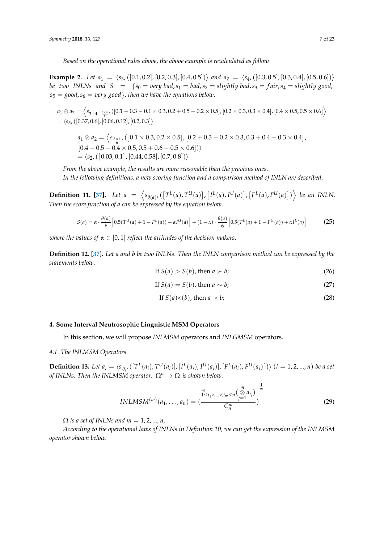*Based on the operational rules above, the above example is recalculated as follow.*

**Example 2.** Let  $a_1 = \langle s_3, ([0.1, 0.2], [0.2, 0.3], [0.4, 0.5]) \rangle$  *and*  $a_2 = \langle s_4, ([0.3, 0.5], [0.3, 0.4], [0.5, 0.6]) \rangle$ *be two INLNs and*  $S = \{s_0 = \text{very bad}, s_1 = \text{bad}, s_2 = \text{slightly bad}, s_3 = \text{fair}, s_4 = \text{slightly good}, s_4 = \text{val} \}$  $s_5 = \text{good}, s_6 = \text{very good}$ }, then we have the equations below.

 $a_1 \oplus a_2 = \left\langle s_{3+4-\frac{3\times4}{6}},([0.1+0.3-0.1\times0.3,0.2+0.5-0.2\times0.5],[0.2\times0.3,0.3\times0.4],[0.4\times0.5,0.5\times0.6]\right\rangle$  $= \langle s_5, (0.37, 0.6], [0.06, 0.12], [0.2, 0.3] \rangle$ 

 $a_1 \otimes a_2 = \left\langle s_{\frac{3\times4}{2}} , \left( \left[ \,0.1 \times 0.3, 0.2 \times 0.5 \right], \left[ 0.2 + 0.3 - 0.2 \times 0.3, 0.3 + 0.4 - 0.3 \times 0.4 \right], \right.$  $[0.4 + 0.5 - 0.4 \times 0.5, 0.5 + 0.6 - 0.5 \times 0.6])$  $= \langle s_2,([0.03, 0.1], [0.44, 0.58], [0.7, 0.8]) \rangle$ 

*From the above example, the results are more reasonable than the previous ones. In the following definitions, a new scoring function and a comparison method of INLN are described*.

**Definition 11.** [\[37\]](#page-22-7). Let  $a = \left\langle s_{\theta(a)}, ([T^L(a), T^U(a)], [I^L(a), I^U(a)], [F^L(a), F^U(a)] \right\rangle$  be an INLN. *Then the score function of a can be expressed by the equation below*.

$$
S(a) = \alpha \cdot \frac{\theta(a)}{6} \left[ 0.5(T^{U}(a) + 1 - F^{L}(a)) + \alpha I^{U}(a) \right] + (1 - \alpha) \cdot \frac{\theta(a)}{6} \left[ 0.5(T^{L}(a) + 1 - F^{U}(a)) + \alpha I^{L}(a) \right]
$$
(25)

*where the values of*  $\alpha \in [0,1]$  *reflect the attitudes of the decision makers.* 

**Definition 12. [\[37\]](#page-22-7).** *Let a and b be two INLNs. Then the INLN comparison method can be expressed by the statements below*.

If 
$$
S(a) > S(b)
$$
, then  $a \succ b$ ; (26)

If 
$$
S(a) = S(b)
$$
, then  $a \sim b$ ; (27)

If 
$$
S(a) < (b)
$$
, then  $a \prec b$ ; (28)

## <span id="page-6-0"></span>**4. Some Interval Neutrosophic Linguistic MSM Operators**

In this section, we will propose *INLMSM* operators and *INLGMSM* operators.

## *4.1. The INLMSM Operators*

**Definition 13.** Let  $a_i = \langle s_{\theta_i}, ([T^L(a_i), T^U(a_i)], [I^L(a_i), I^U(a_i)], [F^L(a_i), F^U(a_i)]) \rangle$   $(i = 1, 2, ..., n)$  be a set *of INLNs. Then the INLMSM operator:*  $\Omega^n \to \Omega$  *is shown below.* 

$$
INLMSM^{(m)}(a_1,...,a_n) = \left(\frac{\sum_{1 \le i_1 < ... < i_m \le n}^m {m \choose j=1} a_{i_j}}{C_n^m}\right)^{\frac{1}{m}}
$$
(29)

 $\Omega$  *is a set of INLNs and m* = 1, 2, ..., *n*.

*According to the operational laws of INLNs in Definition 10, we can get the expression of the INLMSM operator shown below.*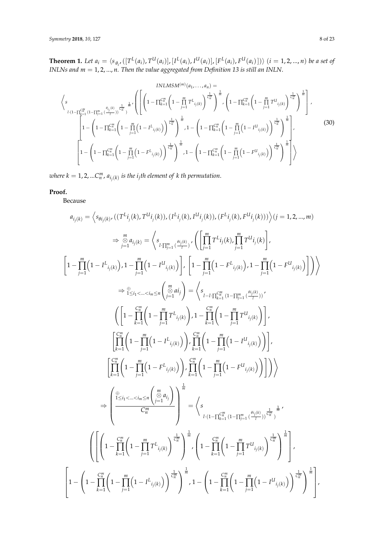**Theorem 1.** Let  $a_i = \langle s_{\theta_i}, ([T^L(a_i), T^U(a_i)], [I^L(a_i), I^U(a_i)], [F^L(a_i), F^U(a_i)]) \rangle$   $(i = 1, 2, ..., n)$  be a set of *INLNs and m* = 1, 2, ..., *n. Then the value aggregated from Definition 13 is still an INLN*.

$$
\langle s \n\begin{pmatrix}\n\sum_{l \cdot (1 - \prod_{k=1}^{C_{ii}^{m}} (1 - \prod_{j=1}^{m} \left(\frac{\theta_{i_{j}(k)}}{I}) - \frac{1}{C_{ii}^{m}} \right)^{\frac{1}{m}} \cdot \left( \left[ \left( 1 - \prod_{k=1}^{C_{ii}^{m}} \left( 1 - \prod_{j=1}^{m} T^{L}_{i_{j}(k)} \right)^{\frac{1}{C_{ii}^{m}} \right)^{\frac{1}{m}} \cdot \left( 1 - \prod_{k=1}^{C_{ii}^{m}} \left( 1 - \prod_{j=1}^{m} T^{U}_{i_{j}(k)} \right)^{\frac{1}{C_{ii}^{m}} \right)^{\frac{1}{m}} \right) \cdot \left( 1 - \prod_{k=1}^{C_{ii}^{m}} \left( 1 - \prod_{j=1}^{m} T^{U}_{i_{j}(k)} \right)^{\frac{1}{C_{ii}^{m}} \right)^{\frac{1}{m}} \cdot \left( 1 - \prod_{k=1}^{C_{ii}^{m}} \left( 1 - \prod_{j=1}^{C_{ii}^{m}} (1 - \prod_{j=1}^{m} \left( 1 - \prod_{j=1}^{C_{ii}^{m}} (1 - \prod_{j=1}^{m} (1 - \prod_{j=1}^{m} \left( 1 - \prod_{j=1}^{m} (1 - \prod_{j=1}^{m} (1 - \prod_{j=1}^{m} (1 - \prod_{j=1}^{m} (1 - \prod_{j=1}^{m} (1 - \prod_{j=1}^{m} (1 - \prod_{j=1}^{m} (1 - \prod_{j=1}^{m} (1 - \prod_{j=1}^{m} (1 - \prod_{j=1}^{m} (1 - \prod_{j=1}^{m} (1 - \prod_{j=1}^{m} (1 - \prod_{j=1}^{m} (1 - \prod_{j=1}^{m} (1 - \prod_{j=1}^{m} (1 - \prod_{j=1}^{m} (1 - \prod_{j=1}^{m} (1 - \prod_{j=1}^{m} (1 - \prod_{j=1}^{m} (1 - \prod_{j=1}^{m} (1 - \prod_{j=1}^{m} (1 - \prod_{j=1}^{m} (1 - \prod_{j=1}^{m} (1 - \prod_{j=1}^{m} (1 - \prod_{j=1}^{m} (1 - \prod_{j=1
$$

 $\omega$ here  $k = 1, 2, ...$ C $_{n}^{m}$ ,  $a_{i_{j}(k)}$  is the  $i_{j}$ th element of  $k$  th permutation.

# **Proof.**

Because

$$
a_{i_{j}(k)} = \left\langle s_{\theta i_{j}(k)}, ((T^{L}i_{j}(k), T^{U}i_{j}(k)), (I^{L}i_{j}(k), I^{U}i_{j}(k)), (F^{L}i_{j}(k), F^{U}i_{j}(k))) \right\rangle (j = 1, 2, ..., m)
$$
\n
$$
\Rightarrow \sum_{j=1}^{m} a_{i_{j}(k)} = \left\langle s_{i_{\text{H}}_{i_{j=1}}^m} \sum_{j=1}^{a_{i_{j}(k)}} \right\rangle \left( \left[ \prod_{j=1}^{m} T^{L}i_{j}(k), \prod_{j=1}^{m} T^{U}i_{j}(k) \right],
$$
\n
$$
\left[ 1 - \prod_{j=1}^{m} \left( 1 - I^{L}i_{j}(k) \right), 1 - \prod_{j=1}^{m} \left( 1 - I^{U}i_{j}(k) \right) \right\rangle, \left[ 1 - \prod_{j=1}^{m} \left( 1 - F^{L}i_{j}(k) \right), 1 - \prod_{j=1}^{m} \left( 1 - F^{U}i_{j}(k) \right) \right] \right\rangle
$$
\n
$$
\Rightarrow \mathcal{P}_{\leq i_{1} < \ldots < i_{m} \leq n} \left( \sum_{j=1}^{m} a_{j} \right) = \left\langle s_{i_{-l} \text{H}} \sum_{j=1}^{m} \left( 1 - \prod_{j=1}^{m} \left( 1 - F^{U}i_{j}(k) \right) \right) \right\rangle,
$$
\n
$$
\left( \left[ 1 - \prod_{k=1}^{m} \left( 1 - \prod_{j=1}^{m} T^{L}i_{j}(k) \right), 1 - \prod_{k=1}^{m} \left( 1 - \prod_{j=1}^{m} T^{U}i_{j}(k) \right) \right],
$$
\n
$$
\left[ \prod_{k=1}^{m} \left( 1 - \prod_{j=1}^{m} \left( 1 - I^{L}i_{j}(k) \right) \right), \prod_{k=1}^{m} \left( 1 - \prod_{j=1}^{m} \left( 1 - I^{U}i_{j}(k) \right) \right) \right] \right\rangle
$$
\n
$$
\Rightarrow \left( \prod_{k=1}^{m} \left( 1 - \prod_{j=1}
$$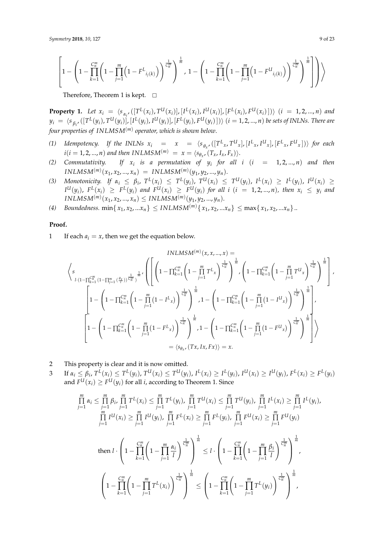$$
\left[1-\left(1-\prod_{k=1}^{C_{n}^{m}}\left(1-\prod_{j=1}^{m}\left(1-F^{L}_{i_{j}(k)}\right)\right)^{\frac{1}{C_{n}^{m}}}\right)^{\frac{1}{m}},1-\left(1-\prod_{k=1}^{C_{n}^{m}}\left(1-\prod_{j=1}^{m}\left(1-F^{U}_{i_{j}(k)}\right)\right)^{\frac{1}{C_{n}^{m}}}\right)^{\frac{1}{m}}\right]\right)\right\rangle
$$

Therefore, Theorem 1 is kept.  $\square$ 

**Property 1.** Let  $x_i = \langle s_{\alpha_i}, ([T^L(x_i), T^U(x_i)], [I^L(x_i), I^U(x_i)], [F^L(x_i), F^U(x_i)]) \rangle$   $(i = 1, 2, ..., n)$  and  $y_i \ = \ \langle s_{\beta_i} , ([T^L(y_i),T^{U}(y_i)], [I^L(y_i),I^U(y_i)], [F^L(y_i),F^{U}(y_i)] ) \rangle \ (i=1,2,...,n)$  be sets of INLNs. There are *four properties of INLMSM*(*m*) *operator, which is shown below*.

- (1) Idempotency. If the INLNs  $x_i = x = (s_{\theta_x}, ([T^L_x, T^U_x], [I^L_x, I^U_x], [F^L_x, F^U_x]))$  for each  $i(i = 1, 2, ..., n)$  and then  $INLMSM^{(m)} = x = \langle s_{\theta_x}, (T_x, I_x, F_x) \rangle$ .
- *(2) Commutativity. If x<sup>i</sup> is a permutation of y<sup>i</sup> for all i* (*i* = 1, 2, ..., *n*) *and then*  $INLMSM^{(m)}(x_1, x_2, ..., x_n) = INLMSM^{(m)}(y_1, y_2, ..., y_n).$
- (3) Monotonicity. If  $\alpha_i \leq \beta_i$ ,  $T^L(x_i) \leq T^L(y_i)$ ,  $T^U(x_i) \leq T^U(y_i)$ ,  $I^L(x_i) \geq I^L(y_i)$ ,  $I^U(x_i) \geq$  $I^U(y_i)$ ,  $F^L(x_i) \geq F^L(y_i)$  and  $F^U(x_i) \geq F^U(y_i)$  for all  $i$   $(i = 1, 2, ..., n)$ , then  $x_i \leq y_i$  and  $INLMSM^{(m)}(x_1, x_2, ..., x_n) \leq INLMSM^{(m)}(y_1, y_2, ..., y_n).$
- *(*4) *Boundedness.* min $\{x_1, x_2, ... x_n\} \leq INLMSM^{(m)}\{x_1, x_2, ... x_n\} \leq \max\{x_1, x_2, ... x_n\}$ ...

# **Proof.**

1 If each  $a_i = x$ , then we get the equation below.

$$
\left\langle s \right\rbrace_{l \cdot (1- \prod_{k=1}^{C_{n}^{m}} (1- \prod_{j=1}^{m} (\frac{\theta_{x}}{f}))^{\frac{1}{C_{n}^{m}}})^{\frac{1}{m}}}, \left( \left[ \left(1- \prod_{k=1}^{C_{n}^{m}} \left(1- \prod_{j=1}^{m} T^{L} x \right)^{\frac{1}{C_{n}^{m}}}\right)^{\frac{1}{m}} , \left(1- \prod_{k=1}^{C_{n}^{m}} \left(1- \prod_{j=1}^{m} T^{U} x \right)^{\frac{1}{C_{n}^{m}}}\right)^{\frac{1}{m}} \right) \right\} \right\} \cdot \left(1- \prod_{k=1}^{C_{n}^{m}} \left(1- \prod_{j=1}^{m} T^{U} x \right)^{\frac{1}{C_{n}^{m}}}\right)^{\frac{1}{m}} \right) \cdot \left(1- \prod_{k=1}^{C_{n}^{m}} \left(1- \prod_{j=1}^{m} (1- \prod_{j=1}^{m} (1- \prod_{j=1}^{m} (1- \prod_{j=1}^{m} (1- \prod_{j=1}^{m} (1- \prod_{j=1}^{m} (1- \prod_{j=1}^{m} (1- \prod_{j=1}^{m} (1- \prod_{j=1}^{m} (1- \prod_{j=1}^{m} (1- \prod_{j=1}^{m} (1- \prod_{j=1}^{m} (1- \prod_{j=1}^{m} (1- \prod_{j=1}^{m} (1- \prod_{j=1}^{m} (1- \prod_{j=1}^{m} (1- \prod_{j=1}^{m} (1- \prod_{j=1}^{m} (1- \prod_{j=1}^{m} (1- \prod_{j=1}^{m} (1- \prod_{j=1}^{m} (1- \prod_{j=1}^{m} (1- \prod_{j=1}^{m} (1- \prod_{j=1}^{m} (1- \prod_{j=1}^{m} (1- \prod_{j=1}^{m} (1- \prod_{j=1}^{m} (1- \prod_{j=1}^{m} (1- \prod_{j=1}^{m} (1- \prod_{j=1}^{m} (1- \prod_{j=1}^{m} (1- \prod_{j=1}^{m} (1- \prod_{j=1}^{m} (1- \prod_{j=1}^{m
$$

- 2 This property is clear and it is now omitted.
- 3 If  $\alpha_i \leq \beta_i$ ,  $T^L(x_i) \leq T^L(y_i)$ ,  $T^U(x_i) \leq T^U(y_i)$ ,  $I^L(x_i) \geq I^L(y_i)$ ,  $I^U(x_i) \geq I^U(y_i)$ ,  $F^L(x_i) \geq F^L(y_i)$ and  $F^{U}(x_i) \geq F^{U}(y_i)$  for all *i*, according to Theorem 1. Since

$$
\prod_{j=1}^{m} \alpha_{i} \leq \prod_{j=1}^{m} \beta_{i}, \prod_{j=1}^{m} T^{L}(x_{i}) \leq \prod_{j=1}^{m} T^{L}(y_{i}), \prod_{j=1}^{m} T^{U}(x_{i}) \leq \prod_{j=1}^{m} T^{U}(y_{i}), \prod_{j=1}^{m} I^{L}(x_{i}) \geq \prod_{j=1}^{m} I^{L}(y_{i}),
$$
  
\n
$$
\prod_{j=1}^{m} I^{U}(x_{i}) \geq \prod_{j=1}^{m} I^{U}(y_{j}), \prod_{j=1}^{m} F^{L}(x_{i}) \geq \prod_{j=1}^{m} F^{L}(y_{j}), \prod_{j=1}^{m} F^{U}(x_{i}) \geq \prod_{j=1}^{m} F^{U}(y_{j})
$$
  
\nthen 
$$
l \cdot \left(1 - \prod_{k=1}^{m} \left(1 - \prod_{j=1}^{m} \frac{\alpha_{i}}{I}\right)^{\frac{1}{C_{m}}} \right)^{\frac{1}{m}} \leq l \cdot \left(1 - \prod_{k=1}^{m} \left(1 - \prod_{j=1}^{m} \frac{\beta_{i}}{I}\right)^{\frac{1}{C_{m}}} \right)^{\frac{1}{m}},
$$
  
\n
$$
\left(1 - \prod_{k=1}^{m} \left(1 - \prod_{j=1}^{m} T^{L}(x_{i})\right)^{\frac{1}{C_{m}^{m}}}\right)^{\frac{1}{m}} \leq \left(1 - \prod_{k=1}^{m} \left(1 - \prod_{j=1}^{m} T^{L}(y_{i})\right)^{\frac{1}{C_{m}^{m}}}\right)^{\frac{1}{m}},
$$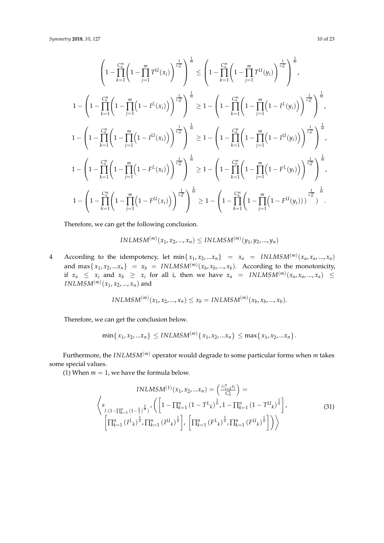*Symmetry* **2018**, *10*, 127 10 of 23

$$
\left(1 - \prod_{k=1}^{C_n^m} \left(1 - \prod_{j=1}^m T^{U}(x_i)\right)^{\frac{1}{C_n^m}}\right)^{\frac{1}{m}} \leq \left(1 - \prod_{k=1}^{C_n^m} \left(1 - \prod_{j=1}^m T^{U}(y_i)\right)^{\frac{1}{C_n^m}}\right)^{\frac{1}{m}},
$$
\n
$$
1 - \left(1 - \prod_{k=1}^{C_n^m} \left(1 - \prod_{j=1}^m \left(1 - I^L(x_i)\right)\right)^{\frac{1}{C_n^m}}\right)^{\frac{1}{m}} \geq 1 - \left(1 - \prod_{k=1}^{C_n^m} \left(1 - \prod_{j=1}^m \left(1 - I^L(y_i)\right)\right)^{\frac{1}{C_n^m}}\right)^{\frac{1}{m}},
$$
\n
$$
1 - \left(1 - \prod_{k=1}^{C_n^m} \left(1 - \prod_{j=1}^m \left(1 - I^U(x_i)\right)\right)^{\frac{1}{C_n^m}}\right)^{\frac{1}{m}} \geq 1 - \left(1 - \prod_{k=1}^{C_n^m} \left(1 - \prod_{j=1}^m \left(1 - I^U(y_i)\right)\right)^{\frac{1}{C_n^m}}\right)^{\frac{1}{m}},
$$
\n
$$
1 - \left(1 - \prod_{k=1}^{C_n^m} \left(1 - \prod_{j=1}^m \left(1 - F^L(x_i)\right)\right)^{\frac{1}{C_n^m}}\right)^{\frac{1}{m}} \geq 1 - \left(1 - \prod_{k=1}^{C_n^m} \left(1 - \prod_{j=1}^m \left(1 - F^L(y_i)\right)\right)^{\frac{1}{C_n^m}}\right)^{\frac{1}{m}},
$$
\n
$$
1 - \left(1 - \prod_{k=1}^{C_n^m} \left(1 - \prod_{j=1}^m \left(1 - F^U(x_i)\right)\right)^{\frac{1}{C_n^m}}\right)^{\frac{1}{m}} \geq 1 - \left(1 - \prod_{k=1}^{C_n^m} \left(1 - \prod_{j=1}^m \left(1 - F^U(y_j)\right)\right)^{\frac{1}{C_n^m}}\right)^{\frac{1}{m}}.
$$

Therefore, we can get the following conclusion.

$$
INLMSM^{(m)}(x_1, x_2, ..., x_n) \leq INLMSM^{(m)}(y_1, y_2, ..., y_n)
$$

4 According to the idempotency, let  $\min\{x_1, x_2, ... x_n\}$  =  $x_a$  =  $INLMSM^{(m)}(x_a, x_a, ..., x_a)$ and  $\max\{x_1, x_2, ... x_n\}$  =  $x_b$  =  $INLMSM^{(m)}(x_b, x_b, ..., x_b)$ . According to the monotonicity, if  $x_a \leq x_i$  and  $x_b \geq x_i$  for all i, then we have  $x_a = INLMSM^{(m)}(x_a, x_a, ..., x_a) \leq$  $INLMSM^{(m)}(x_1, x_2, ..., x_n)$  and

$$
INLMSM^{(m)}(x_1, x_2, ..., x_n) \le x_b = INLMSM^{(m)}(x_b, x_b, ..., x_b).
$$

Therefore, we can get the conclusion below.

$$
\min\{x_1, x_2, ... x_n\} \leq INLMSM^{(m)}\{x_1, x_2, ... x_n\} \leq \max\{x_1, x_2, ... x_n\}.
$$

Furthermore, the *INLMSM*(*m*) operator would degrade to some particular forms when *m* takes some special values.

(1) When  $m = 1$ , we have the formula below.

$$
INLMSM^{(1)}(x_1, x_2, ... x_n) = \left(\frac{\oplus_{i=1}^n x_i}{C_n^1}\right) =
$$
\n
$$
\left\langle s \left(1 - \prod_{k=1}^n (1 - \bar{r})^{\frac{1}{n}}\right) \left(\left[1 - \prod_{k=1}^n (1 - T^L_k)^{\frac{1}{n}}\right] - \prod_{k=1}^n (1 - T^U_k)^{\frac{1}{n}}\right],
$$
\n
$$
\left[\prod_{k=1}^n (I^L_k)^{\frac{1}{n}}\right] \prod_{k=1}^n (I^U_k)^{\frac{1}{n}}\right], \left[\prod_{k=1}^n (F^L_k)^{\frac{1}{n}}\right] \prod_{k=1}^n (F^U_k)^{\frac{1}{n}}\right]\right\rangle
$$
\n(31)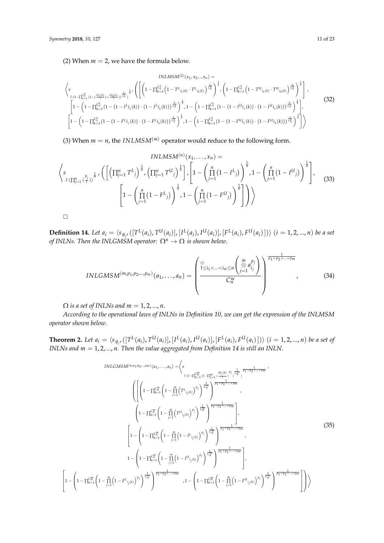(2) When  $m = 2$ , we have the formula below.

$$
\langle s \n\begin{pmatrix}\n\sinh(2^{i}(x_{1}, x_{2}, \ldots x_{n})) \\
\sinh(2^{i}(\pi_{1}-\prod_{k=1}^{C_{n}}(1-\Pi_{k=1}^{C_{n}}(1-\Pi_{k=1}^{C_{n}}(1-\Pi_{k=1}^{C_{n}}(1-\Pi_{k=1}^{C_{n}}(1-\Pi_{k=1}^{C_{n}}(1-\Pi_{k=1}^{C_{n}}(1-\Pi_{k=1}^{C_{n}}(1-\Pi_{k=1}^{C_{n}}(1-\Pi_{k=1}^{C_{n}}(1-\Pi_{k=1}^{C_{n}}(1-\Pi_{k=1}^{C_{n}}(1-\Pi_{k=1}^{C_{n}}(1-\Pi_{k=1}^{C_{n}}(1-\Pi_{k=1}^{C_{n}}(1-\Pi_{k=1}^{C_{n}}(1-\Pi_{k=1}^{C_{n}}(1-\Pi_{k=1}^{C_{n}}(1-\Pi_{k=1}^{C_{n}}(1-\Pi_{k=1}^{C_{n}}(1-\Pi_{k=1}^{C_{n}}(1-\Pi_{k=1}^{C_{n}}(1-\Pi_{k=1}^{C_{n}}(1-\Pi_{k=1}^{C_{n}}(1-\Pi_{k=1}^{C_{n}}(1-\Pi_{k=1}^{C_{n}}(1-\Pi_{k=1}^{C_{n}}(1-\Pi_{k=1}^{C_{n}}(1-\Pi_{k=1}^{C_{n}}(1-\Pi_{k=1}^{C_{n}}(1-\Pi_{k=1}^{C_{n}}(1-\Pi_{k=1}^{C_{n}}(1-\Pi_{k=1}^{C_{n}}(1-\Pi_{k=1}^{C_{n}}(1-\Pi_{k=1}^{C_{n}}(1-\Pi_{k=1}^{C_{n}}(1-\Pi_{k=1}^{C_{n}}(1-\Pi_{k=1}^{C_{n}}(1-\Pi_{k=1}^{C_{n}}(1-\Pi_{k=1}^{C_{n}}(1-\Pi_{k=1}^{C_{n}}(1-\Pi_{k=1}^{C_{n}}(1-\Pi_{k=1}^{C_{n}}(1-\Pi_{k=1}^{C_{n}}(1-\Pi_{k=1}^{C_{n}}(1-\Pi_{k=1}^{C_{n}}(1-\Pi_{k=1}^{C_{n}}(1-\Pi_{k=1}^{C_{n}}(1-\Pi_{k=1}^{C_{n}}(1-\Pi_{k=1}^{C_{n}}(1-\Pi_{k=1}^{C_{n
$$

(3) When  $m = n$ , the *INLMSM*<sup>(*m*)</sup> operator would reduce to the following form.

$$
INLMSM^{(n)}(x_1, ..., x_n) =
$$
\n
$$
\left\langle s_{\iota(\prod_{j=1}^n {e_j})^{\frac{1}{n}}}, \left( \left[ \left( \prod_{j=1}^n T^{L_j} \right)^{\frac{1}{n}} , \left( \prod_{j=1}^n T^{U_j} \right)^{\frac{1}{n}} \right], \left[ 1 - \left( \prod_{j=1}^n (1 - I^{L_j}) \right)^{\frac{1}{n}} , 1 - \left( \prod_{j=1}^n (1 - I^{U_j}) \right)^{\frac{1}{n}} \right] \right\rangle
$$
\n
$$
\left[ 1 - \left( \prod_{j=1}^n (1 - F^{L_j}) \right)^{\frac{1}{n}} , 1 - \left( \prod_{j=1}^n (1 - F^{U_j}) \right)^{\frac{1}{n}} \right] \right\rangle \right\rangle
$$
\n(33)

$$
\Box
$$

f  $\vert 1 \sqrt{ }$  $\overline{ }$ 

**Definition 14.** Let  $a_i = \langle s_{\theta_i}, ([T^L(a_i), T^U(a_i)], [I^L(a_i), I^U(a_i)], [F^L(a_i), F^U(a_i)]) \rangle$   $(i = 1, 2, ..., n)$  be a set *of INLNs. Then the INLGMSM operator:*  $\Omega^n \to \Omega$  *is shown below.* 

$$
INLGMSM^{(m,p_1,p_2,...,p_m)}(a_1,...,a_n) = \left(\frac{\bigoplus \{1 \leq i_1 < ... < i_m \leq n \binom{m}{\varnothing} a_{i_j}^{p_j}\}}{C_n^m}\right)^{\frac{1}{p_1 + p_2 + ... + p_m}}.
$$
(34)

 $\Omega$  *is a set of INLNs and m* = 1, 2, ..., *n*.

*According to the operational laws of INLNs in Definition 10, we can get the expression of the INLMSM operator shown below*.

**Theorem 2.** Let  $a_i = \langle s_{\theta_i}, ([T^L(a_i), T^U(a_i)], [I^L(a_i), I^U(a_i)], [F^L(a_i), F^U(a_i)]) \rangle$   $(i = 1, 2, ..., n)$  be a set of *INLNs and m* = 1, 2, ..., *n. Then the value aggregated from Definition 14 is still an INLN*.

$$
INLGMSM^{(m,p_1,p_2,...,p_m)}(a_1,...,a_n) = \left\langle s \prod_{l \cdot (1-\prod_{k=1}^{cm} (1-\prod_{j=1}^{m} (\frac{e_{ij}(k)}{l}))^{p_j} \right\rangle \frac{1}{C_H^{m}})} \frac{1}{p_1+p_2+...+p_m} \right\rangle
$$
\n
$$
\left( \left[ \left( 1 - \prod_{k=1}^{cm} \left( 1 - \prod_{j=1}^{m} (T^{L}_{i_{j}(k)})^{p_j} \right)^{\frac{1}{C_H^{m}}} \right)^{\frac{1}{p_1+p_2+...+p_m}} \right\rangle
$$
\n
$$
\left( 1 - \prod_{k=1}^{cm} \left( 1 - \prod_{j=1}^{m} (T^{U}_{i_{j}(k)})^{p_j} \right)^{\frac{1}{C_H^{m}}}} \right)^{\frac{1}{p_1+p_2+...+p_m}} \right\rangle,
$$
\n
$$
\left[ 1 - \left( 1 - \prod_{k=1}^{cm} \left( 1 - \prod_{j=1}^{m} (1 - I^{L}_{i_{j}(k)})^{p_j} \right)^{\frac{1}{C_H^{m}}}} \right)^{\frac{1}{p_1+p_2+...+p_m}} \right\rangle,
$$
\n
$$
1 - \left( 1 - \prod_{k=1}^{cm} \left( 1 - \prod_{j=1}^{m} (1 - I^{U}_{i_{j}(k)})^{p_j} \right)^{\frac{1}{C_H^{m}}}} \right)^{\frac{1}{p_1+p_2+...+p_m}} \right\rangle,
$$
\n
$$
1 - \prod_{k=1}^{cm} \left( 1 - F^{L}_{i_{j}(k)})^{p_j} \right)^{\frac{1}{C_H^{m}}} \left( 1 - \prod_{k=1}^{cm} \left( 1 - \prod_{j=1}^{cm} \left( 1 - \prod_{j=1}^{cm} \left( 1 - F^{U}_{i_{j}(k)})^{p_j} \right)^{\frac{1}{C_H^{m}}}} \right)^{\frac{1}{p_1+p_2+...+p_m}} \right) \right\}
$$
\n
$$
(35)
$$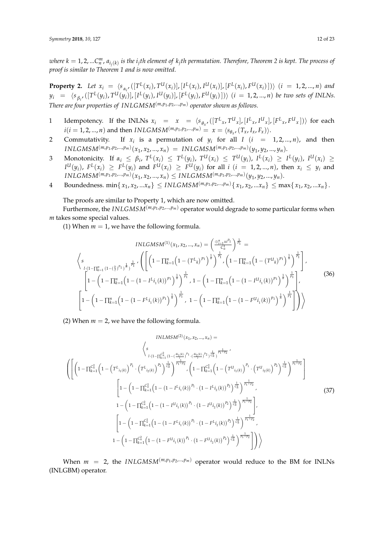where  $k=1,2,...C_n^m$ ,  $a_{i_j(k)}$  is the  $i_j$ th element of  $k_j$ th permutation. Therefore, Theorem 2 is kept. The process of *proof is similar to Theorem 1 and is now omitted.*

**Property 2.** Let  $x_i = \langle s_{\alpha_i}, ([T^L(x_i), T^U(x_i)], [I^L(x_i), I^U(x_i)], [F^L(x_i), F^U(x_i)]) \rangle$   $(i = 1, 2, ..., n)$  and  $y_i \;\; = \;\; \langle s_{\beta_i} , ([T^L(y_i),T^U(y_i)], [I^L(y_i),I^U(y_i)], [F^L(y_i),F^U(y_i)] \rangle \; (i \; = \; 1,2,...,n)$  be two sets of INLNs. *There are four properties of INLGMSM*(*m*,*p*<sup>1</sup> ,*p*2,...,*pm*) *operator shown as follows.*

- 1 Idempotency. If the INLNs  $x_i = x = \langle s_{\theta_x}, ([T^L_x, T^U_x], [I^L_x, I^U_x], [F^L_x, F^U_x]) \rangle$  for each  $i(i = 1, 2, ..., n)$  and then *INLGMSM*<sup> $(m, p_1, p_2, ..., p_m) = x = \langle s_{\theta_x}, (T_x, I_x, F_x) \rangle$ .</sup>
- 2 Commutativity. If  $x_i$  is a permutation of  $y_i$  for all  $I$   $(i = 1, 2, ..., n)$ , and then  $INLGMSM^{(m,p_1,p_2,...,p_m)}(x_1,x_2,...,x_n) = INLGMSM^{(m,p_1,p_2,...,p_m)}(y_1,y_2,...,y_n).$
- 3 Monotonicity. If  $\alpha_i \leq \beta_i$ ,  $T^L(x_i) \leq T^L(y_i)$ ,  $T^U(x_i) \leq T^U(y_i)$ ,  $I^L(x_i) \geq I^L(y_i)$ ,  $I^U(x_i) \geq$  $I^U(y_i)$ ,  $F^L(x_i) \geq F^L(y_i)$  and  $F^U(x_i) \geq F^U(y_i)$  for all  $i$   $(i = 1, 2, ..., n)$ , then  $x_i \leq y_i$  and  $INLGMSM^{(m,p_1,p_2,...,p_m)}(x_1,x_2,...,x_n)\leq INLGMSM^{(m,p_1,p_2,...,p_m)}(y_1,y_2,...,y_n).$
- 4 Boundedness.  $\min\{x_1, x_2, ... x_n\} \leq INLGMSM^{(m,p_1,p_2,...,p_m)}\{x_1, x_2, ... x_n\} \leq \max\{x_1, x_2, ... x_n\}.$

The proofs are similar to Property 1, which are now omitted.

Furthermore, the  $INLGMSM^{(m,p_1,p_2,...,p_m)}$  operator would degrade to some particular forms when *m* takes some special values.

(1) When  $m = 1$ , we have the following formula.

$$
INLGMSM^{(1)}(x_1, x_2, ..., x_n) = \left(\frac{\bigoplus_{i=1}^n x^{iP_1}}{C_n^1}\right)^{\frac{1}{P_1}} =
$$
\n
$$
\left\langle s \left(1-\prod_{k=1}^n (1-(\frac{k}{p})^{p_1})^{\frac{1}{n}}\right)^{\frac{1}{p_1}} \cdot \left( \left[\left(1-\prod_{k=1}^n \left(1-(T^L_k)^{p_1}\right)^{\frac{1}{n}}\right)^{\frac{1}{n}}\right)^{\frac{1}{p_1}} \cdot \left(1-\prod_{k=1}^n \left(1-(T^U_k)^{p_1}\right)^{\frac{1}{n}}\right)^{\frac{1}{n}}\right]^{\frac{1}{p_1}} \right\rangle
$$
\n
$$
\left[1-\left(1-\prod_{k=1}^n \left(1-(1-I^Li_1(k))^{p_1}\right)^{\frac{1}{n}}\right)^{\frac{1}{n}}\right)^{\frac{1}{n_1}}, 1-\left(1-\prod_{k=1}^n \left(1-(1-I^Ui_1(k))^{p_1}\right)^{\frac{1}{n}}\right)^{\frac{1}{n_1}}\right],
$$
\n
$$
\left[1-\left(1-\prod_{k=1}^n \left(1-(1-F^Li_1(k))^{p_1}\right)^{\frac{1}{n}}\right)^{\frac{1}{n_1}}, 1-\left(1-\prod_{k=1}^n \left(1-(1-F^Ui_1(k))^{p_1}\right)^{\frac{1}{n}}\right)^{\frac{1}{n_1}}\right]\right\rangle
$$
\n
$$
(36)
$$

(2) When  $m = 2$ , we have the following formula.

$$
INLMSM^{(2)}(x_1, x_2, ..., x_n) =
$$
\n
$$
\left\langle s \prod_{l \cdot (1 - \prod_{k=1}^{C_n^2} (1 - (\frac{\theta i_1(k)}{l})^{p_1} \cdot (\frac{\theta i_2(k)}{l})^{p_2})^{\frac{1}{C_n^2}})^{\frac{1}{p_1 + p_2}} \cdot \left( 1 - \prod_{k=1}^{C_n^2} \left( 1 - (T^{U_{i_1(k)}})^{P_1} \cdot (T^{U_{i_2(k)}})^{p_2} \right)^{\frac{1}{C_n^2}} \right)^{\frac{1}{p_1 + p_2}}
$$
\n
$$
\left[ 1 - \left( 1 - \prod_{k=1}^{C_n^2} \left( 1 - (1 - I^{L_{i_1(k)}})^{P_1} \cdot (1 - I^{L_{i_2(k)}})^{P_2} \right)^{\frac{1}{C_n^2}} \right)^{\frac{1}{p_1 + p_2}},
$$
\n
$$
1 - \left( 1 - \prod_{k=1}^{C_n^2} \left( 1 - (1 - I^{U_{i_1(k)}})^{P_1} \cdot (1 - I^{U_{i_2(k)}})^{P_2} \right)^{\frac{1}{C_n^2}} \right)^{\frac{1}{p_1 + p_2}},
$$
\n
$$
\left[ 1 - \left( 1 - \prod_{k=1}^{C_n^2} \left( 1 - (1 - I^{U_{i_1(k)}})^{P_1} \cdot (1 - I^{U_{i_2(k)}})^{P_2} \right)^{\frac{1}{C_n^2}} \right)^{\frac{1}{p_1 + p_2}},
$$
\n
$$
\left[ 1 - \left( 1 - \prod_{k=1}^{C_n^2} \left( 1 - (1 - F^{L_{i_1(k)}})^{P_1} \cdot (1 - F^{L_{i_2(k)}})^{P_2} \right)^{\frac{1}{C_n^2}} \right)^{\frac{1}{p_1 + p_2}},
$$
\n
$$
1 - \left( 1 - \prod_{k=1}^{C_n^2} \left( 1 - (1 - F^{U_{i_1(k)}})^{P_1} \cdot (1 - F^{U_{i_2(k)}})^{P_2} \right)^{\frac{1}{C_n^2}} \right)^{\frac{1}{p_1 + p_2}},
$$
\n
$$
(37)
$$

When  $m = 2$ , the *INLGMSM*<sup> $(m, p_1, p_2, ..., p_m)$  operator would reduce to the BM for INLNs</sup> (INLGBM) operator.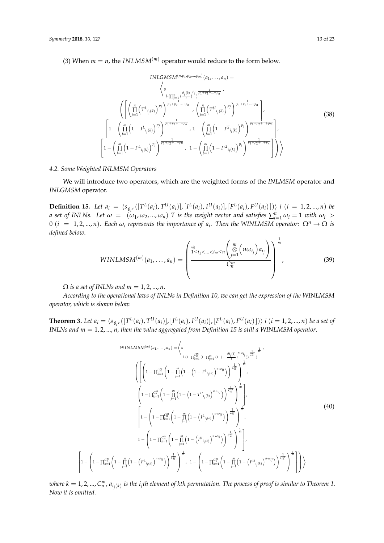(3) When  $m = n$ , the *INLMSM*<sup>(*m*)</sup> operator would reduce to the form below.

$$
INLGMSM^{(n,p_1,p_2,...,p_m)}(a_1,...,a_n) =
$$
\n
$$
\left\langle s \prod_{l:\prod_{j=1}^n \left(\frac{\theta_j(k)}{I}\right)^{p_j}} \frac{\theta_1(k)}{p_1 + p_2 + ... + p_n}, \right\rangle
$$
\n
$$
\left( \left[ \left( \prod_{j=1}^n \left(T^L_{i_j(k)}\right)^{p_j} \right)^{\frac{1}{p_1 + p_2 + ... + p_n}}, \left( \prod_{j=1}^n \left(T^L_{i_j(k)}\right)^{p_j} \right)^{\frac{1}{p_1 + p_2 + ... + p_n}} \right], \right\}
$$
\n
$$
\left[ 1 - \left( \prod_{j=1}^m \left(1 - I^L_{i_j(k)}\right)^{p_j} \right)^{\frac{1}{p_1 + p_2 + ... + p_n}}, 1 - \left( \prod_{j=1}^m \left(1 - I^L_{i_j(k)}\right)^{p_j} \right)^{\frac{1}{p_1 + p_2 + ... + p_n}} \right], \right\}
$$
\n
$$
\left[ 1 - \left( \prod_{j=1}^m \left(1 - F^L_{i_j(k)}\right)^{p_j} \right)^{\frac{1}{p_1 + p_2 + ... + p_n}}, 1 - \left( \prod_{j=1}^m \left(1 - F^L_{i_j(k)}\right)^{p_j} \right)^{\frac{1}{p_1 + p_2 + ... + p_n}} \right] \right\rangle \right\rangle
$$
\n
$$
(38)
$$

## *4.2. Some Weighted INLMSM Operators*

We will introduce two operators, which are the weighted forms of the *INLMSM* operator and *INLGMSM* operator.

**Definition 15.** Let  $a_i = \langle s_{\theta_i}, ([T^L(a_i), T^U(a_i)], [I^L(a_i), I^U(a_i)], [F^L(a_i), F^U(a_i)]) \rangle$  i  $(i = 1, 2, ..., n)$  be *a* set of INLNs. Let  $\omega = (\omega_1, \omega_2, ..., \omega_n)$  T is the weight vector and satisfies  $\sum_{i=1}^n \omega_i = 1$  with  $\omega_i >$  $0$  ( $i = 1, 2, ..., n$ ). Each  $\omega_i$  represents the importance of  $a_i$ . Then the WINLMSM operator:  $\Omega^n \to \Omega$  is *defined below*. 1

$$
WINLMSM^{(m)}(a_1,\ldots,a_n) = \left(\frac{\sum_{1 \leq i_1 < \ldots < i_m \leq n}^m \left(\sum_{j=1}^m \left(n\omega_{i_j}\right)a_{i_j}\right)}{C_n^m}\right)^{\overline{m}}, \qquad (39)
$$

 $\Omega$  *is a set of INLNs and m* = 1, 2, ..., *n*.

 $\sqrt{ }$ 

 $\overline{1}$ 

*According to the operational laws of INLNs in Definition 10, we can get the expression of the WINLMSM operator, which is shown below.*

**Theorem 3.** Let  $a_i = \langle s_{\theta_i}, ([T^L(a_i), T^U(a_i)], [I^L(a_i), I^U(a_i)], [F^L(a_i), F^U(a_i)]) \rangle$  i  $(i = 1, 2, ..., n)$  be a set of *INLNs and m* = 1, 2, ..., *n, then the value aggregated from Definition 15 is still a WINLMSM operator*.

WINLMSM<sup>(m)</sup> (a<sub>1</sub>,..., a<sub>n</sub>) = 
$$
\langle s
$$
  
\n
$$
\left\{ \left[ \left( 1 - \prod_{k=1}^{C_m^m} \left( 1 - \prod_{j=1}^m (1 - (1 - T^{L_{i_{j(k)}}})^{n \omega_{i_j}}) \right)^{\frac{1}{C_m^m}} \right)^{\frac{1}{m}} \right]^{\frac{1}{m}} \right\}^{\frac{1}{m}}
$$
\n
$$
\left( 1 - \prod_{k=1}^{C_m^m} \left( 1 - \prod_{j=1}^m (1 - (1 - T^{L_{i_{j(k)}}})^{n \omega_{i_j}}) \right)^{\frac{1}{C_m^m}} \right)^{\frac{1}{m}}
$$
\n
$$
\left( 1 - \prod_{k=1}^{C_m^m} \left( 1 - \prod_{j=1}^m (1 - (1 - T^{L_{i_{j(k)}}})^{n \omega_{i_j}}) \right)^{\frac{1}{C_m^m}} \right)^{\frac{1}{m}}
$$
\n
$$
\left[ 1 - \left( 1 - \prod_{k=1}^{C_m^m} \left( 1 - \prod_{j=1}^m (1 - (T^{L_{i_{j(k)}}})^{n \omega_{i_j}}) \right)^{\frac{1}{C_m^m}} \right)^{\frac{1}{m}} \right],
$$
\n
$$
1 - \left( 1 - \prod_{k=1}^{C_m^m} \left( 1 - \prod_{j=1}^m (1 - (T^{L_{i_{j(k)}}})^{n \omega_{i_j}}) \right)^{\frac{1}{C_m^m}} \right)^{\frac{1}{m}}
$$
\n
$$
\left[ 1 - \left( 1 - \prod_{k=1}^{C_m^m} \left( 1 - (T^{L_{i_{j(k)}}})^{n \omega_{i_j}} \right) \right)^{\frac{1}{C_m^m}} \right], 1 - \left( 1 - \prod_{k=1}^{C_m^m} \left( 1 - \prod_{j=1}^m (1 - (F^{L_{i_{j(k)}}})^{n \omega_{i_j}}) \right)^{\frac{1}{C_m^m}} \right)^{\frac{1}{m}} \right] \right)
$$
\n
$$
\left\{ 1 - \left( 1 - \prod_{k=1}^{C_m^m} \left( 1 - (F^{L_{i_{j(k)}}})^{n \omega_{i_j}} \right) \right)^{\frac{1}{C_m^
$$

 $\omega$ here  $k=1,2,...,C_n^m$  ,  $a_{i_j(k)}$  is the  $i_j$ th element of kth permutation. The process of proof is similar to Theorem 1. *Now it is omitted.*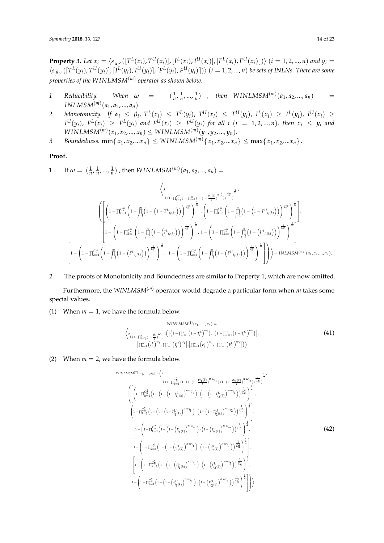**Property 3.** Let  $x_i = \langle s_{\alpha_{i'}}([T^L(x_i), T^U(x_i)], [I^L(x_i), I^U(x_i)], [F^L(x_i), F^U(x_i)]\rangle \ (i = 1, 2, ..., n)$  and  $y_i =$  $\langle s_{\beta_{i'}}([T^L(y_i),T^U(y_i)],[I^L(y_i),I^U(y_i)],[F^L(y_i),F^U(y_i)])\rangle$   $(i=1,2,...,n)$  be sets of INLNs. There are some *properties of the W INLMSM*(*m*) *operator as shown below.*

- *1 Reducibility. When*  $\omega =$  $\frac{1}{n}, \frac{1}{n}, \ldots, \frac{1}{n}$  , then  $WINLMSM^{(m)}(a_1, a_2, \ldots, a_n)$  = *INLMSM*<sup> $(m)$ </sup> $(a_1, a_2, ..., a_n)$ .
- 2 Monotonicity. If  $\alpha_i \leq \beta_i$ ,  $T^L(x_i) \leq T^L(y_i)$ ,  $T^U(x_i) \leq T^U(y_i)$ ,  $I^L(x_i) \geq I^L(y_i)$ ,  $I^U(x_i) \geq$  $I^U(y_i)$ ,  $F^L(x_i) \geq F^L(y_i)$  and  $F^U(x_i) \geq F^U(y_i)$  for all  $i$   $(i = 1, 2, ..., n)$ , then  $x_i \leq y_i$  and  $WINLMSM<sup>(m)</sup>(x_1, x_2, ..., x_n) \leq WINLMSM<sup>(m)</sup>(y_1, y_2, ..., y_n).$
- *3 Boundedness.* min $\{x_1, x_2, ... x_n\} \le$  *WINLMSM*<sup> $(m)$ </sup> $\{x_1, x_2, ... x_n\} \le$  max $\{x_1, x_2, ... x_n\}$ .

## **Proof.**

1 If  $\omega = (\frac{1}{n}, \frac{1}{n}, ..., \frac{1}{n})$ , then  $WINLMSM^{(m)}(a_1, a_2, ..., a_n)$ 

$$
\left\langle s \right\rangle_{l \cdot (1 - \prod_{k=1}^{C_{m}^{m}} (1 - \prod_{j=1}^{m} (1 - (1 - \frac{a_{i_{j}(k)}}{l}))^{n \frac{1}{n}})^{n \frac{1}{n}} s^{n \frac{1}{n}} s^{n \frac{1}{n}} s^{n \frac{1}{n}} s^{n \frac{1}{n}} s^{n \frac{1}{n}} s^{n \frac{1}{n}} s^{n \frac{1}{n}} s^{n \frac{1}{n}} s^{n \frac{1}{n}} s^{n \frac{1}{n}} s^{n \frac{1}{n}} s^{n \frac{1}{n}} s^{n \frac{1}{n}} s^{n \frac{1}{n}} s^{n \frac{1}{n}} s^{n \frac{1}{n}} s^{n \frac{1}{n}} s^{n \frac{1}{n}} s^{n \frac{1}{n}} s^{n \frac{1}{n}} s^{n \frac{1}{n}} s^{n \frac{1}{n}} s^{n \frac{1}{n}} s^{n \frac{1}{n}} s^{n \frac{1}{n}} s^{n \frac{1}{n}} s^{n \frac{1}{n}} s^{n \frac{1}{n}} s^{n \frac{1}{n}} s^{n \frac{1}{n}} s^{n \frac{1}{n}} s^{n \frac{1}{n}} s^{n \frac{1}{n}} s^{n \frac{1}{n}} s^{n \frac{1}{n}} s^{n \frac{1}{n}} s^{n \frac{1}{n}} s^{n \frac{1}{n}} s^{n \frac{1}{n}} s^{n \frac{1}{n}} s^{n \frac{1}{n}} s^{n \frac{1}{n}} s^{n \frac{1}{n}} s^{n \frac{1}{n}} s^{n \frac{1}{n}} s^{n \frac{1}{n}} s^{n \frac{1}{n}} s^{n \frac{1}{n}} s^{n \frac{1}{n}} s^{n \frac{1}{n}} s^{n \frac{1}{n}} s^{n \frac{1}{n}} s^{n \frac{1}{n}} s^{n \frac{1}{n}} s^{n \frac{1}{n}} s^{n \frac{1}{n}} s^{n \frac{1}{n}} s^{n \frac{1}{n}} s^{n \frac{1}{n}} s^{n \frac{1}{n}} s^{n \frac{1}{n}} s^{n \frac{1}{n}} s^{n \frac{1}{n}} s^{n \frac{1}{n}} s^{n \frac{1}{n}} s^{n \frac{1}{n}} s^{n \frac{1}{n}} s^{n \frac{1
$$

2 The proofs of Monotonicity and Boundedness are similar to Property 1, which are now omitted.

Furthermore, the *WINLMSM*(*m*) operator would degrade a particular form when *m* takes some special values.

(1) When  $m = 1$ , we have the formula below.

$$
\langle \mathbf{WINLMSM}^{(1)}(a_1, \dots, a_n) =
$$
\n
$$
\langle \mathbf{s}_{l \cdot (1-\prod_{i=1}^n (1-\frac{\theta_i}{l})^{\omega_i}} \rangle \cdot \left( \left[ \left( 1 - \prod_{i=1}^n \left( 1 - T_i^L \right)^{\omega_i} \right), \left( 1 - \prod_{i=1}^n \left( 1 - T_i^U \right)^{\omega_i} \right) \right], \left[ \prod_{i=1}^n \left( T_i^L \right)^{\omega_i} \right], \left[ \prod_{i=1}^n \left( F_i^L \right)^{\omega_i}, \prod_{i=1}^n \left( F_i^L \right)^{\omega_i} \right] \rangle \rangle
$$
\n
$$
\langle 41 \rangle
$$

(2) When  $m = 2$ , we have the formula below.

WINLMSM<sup>(2)</sup>(a<sub>1</sub>,...,a<sub>n</sub>) = 
$$
\langle s
$$
  
\n
$$
l \cdot (1 - \prod_{k=1}^{C_n^2} (1 - (1 - (1 - \frac{\theta i_1(k)}{l}))^{n \cdot \omega_{i_1}}) \cdot (1 - (1 - \frac{\theta i_2(k)}{l}))^{n \cdot \omega_{i_2}}) \frac{1}{C_n^2} \frac{1}{2} \rangle
$$
\n
$$
\left( \left[ \left( 1 - \prod_{k=1}^{C_n^2} \left( 1 - \left( 1 - \left( 1 - \frac{1}{l_1(k)} \right)^{n \cdot \omega_{i_1}} \right) \right) \cdot \left( 1 - \left( 1 - \frac{1}{l_2(k)} \right)^{n \cdot \omega_{i_2}} \right) \right) \frac{1}{C_n^2} \right]^{\frac{1}{2}},
$$
\n
$$
\left( 1 - \prod_{k=1}^{C_n^2} \left( 1 - \left( 1 - \left( 1 - \frac{1}{l_1(k)} \right)^{n \cdot \omega_{i_1}} \right) \cdot \left( 1 - \left( 1 - \frac{1}{l_2(k)} \right)^{n \cdot \omega_{i_2}} \right) \right) \frac{1}{C_n^2} \right)^{\frac{1}{2}},
$$
\n
$$
\left[ 1 - \left( 1 - \prod_{k=1}^{C_n^2} \left( 1 - \left( 1 - \left( \frac{l_1}{l_1(k)} \right)^{n \cdot \omega_{i_1}} \right) \cdot \left( 1 - \left( \frac{l_2}{l_2(k)} \right)^{n \cdot \omega_{i_2}} \right) \right) \frac{1}{C_n^2} \right)^{\frac{1}{2}},
$$
\n
$$
1 - \left( 1 - \prod_{k=1}^{C_n^2} \left( 1 - \left( 1 - \left( \frac{l_1}{l_1(k)} \right)^{n \cdot \omega_{i_1}} \right) \cdot \left( 1 - \left( \frac{l_2}{l_2(k)} \right)^{n \cdot \omega_{i_2}} \right) \right) \frac{1}{C_n^2} \right)^{\frac{1}{2}},
$$
\n
$$
\left[ 1 - \left( 1 - \prod_{k=1}^{C_n^2} \left( 1 - \left( 1 - \left( \frac{l_1}{l_1
$$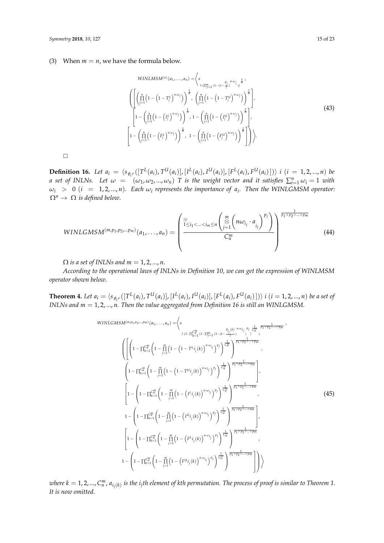(3) When  $m = n$ , we have the formula below.

WINLMSM<sup>(n)</sup> (a<sub>1</sub>,..., a<sub>n</sub>) = 
$$
\left\langle s \prod_{l:\prod_{j=1}^{n} (1-(1-\frac{\theta_{j}}{l}))^{\frac{1}{n}} s' \prod_{j=1}^{n} (1-(1-\frac{\theta_{j}}{l}))^{\frac{1}{n}} s' \prod_{j=1}^{n} (1-(1-\frac{\theta_{j}}{l}))^{\frac{1}{n}} \right\rangle
$$
  

$$
\left[ 1 - \left( \prod_{j=1}^{n} (1-(I_{j}^{L})^{n\omega_{j}}) \right)^{\frac{1}{n}} , 1 - \left( \prod_{j=1}^{n} (1-(I_{j}^{U})^{n\omega_{j}}) \right)^{\frac{1}{n}} \right],
$$
  

$$
\left[ 1 - \left( \prod_{j=1}^{n} (1-(F_{j}^{L})^{n\omega_{j}}) \right)^{\frac{1}{n}} , 1 - \left( \prod_{j=1}^{n} (1-(F_{j}^{U})^{n\omega_{j}}) \right)^{\frac{1}{n}} \right] \right\rangle
$$
 (43)

 $\Box$ 

**Definition 16.** Let  $a_i = \langle s_{\theta_i}, ([T^L(a_i), T^U(a_i)], [I^L(a_i), I^U(a_i)], [F^L(a_i), F^U(a_i)] \rangle$  i  $(i = 1, 2, ..., n)$  be *a* set of INLNs. Let  $\omega = (\omega_1, \omega_2, ..., \omega_n)$  *T* is the weight vector and it satisfies  $\sum_{i=1}^n \omega_i = 1$  with  $\omega_i$   $>$  0 (*i* = 1,2,..., *n*). Each  $\omega_i$  represents the importance of  $a_i$ . Then the WINLGMSM operator:  $\Omega^n \to \Omega$  *is defined below.* 

$$
WINLGMSM^{(m,p_1,p_2,...,p_m)}(a_1,...,a_n)=\left(\frac{\sum_{1\leq i_1<...(44)
$$

 $\Omega$  *is a set of INLNs and m* = 1, 2, ..., *n*.

*According to the operational laws of INLNs in Definition 10, we can get the expression of WINLMSM operator shown below*.

**Theorem 4.** Let  $a_i = \langle s_{\theta_i}, ([T^L(a_i), T^U(a_i)], [I^L(a_i), I^U(a_i)], [F^L(a_i), F^U(a_i)]) \rangle$  i  $(i = 1, 2, ..., n)$  be a set of *INLNs and m* = 1, 2, ..., *n. Then the value aggregated from Definition 16 is still an WINLGMSM*.

*W INLGMSM*(*m*,*p*<sup>1</sup> ,*p*2 ,...,*pm*) (*a*1, . . . , *<sup>a</sup>n*) =\* *s l*·(1−∏ *Cm n k*=1 (1−∏*m j*=1 (1−(1− *θ i j* (*k*) *l* ) *<sup>n</sup>*·*ω<sup>i</sup> j* ) *pj* 1 *Cm n* ) 1 *<sup>p</sup>*1+*p*2+...+*pm* , 1 − ∏ *Cm n k*=1 1 − *m* ∏ *j*=1 1 − 1 − *T L i* (*k*) *n*·*ω<sup>i</sup> pj* ! <sup>1</sup> *Cm n* 1 *<sup>p</sup>*1+*p*2+...+*pm* , 1 − ∏ *Cm n k*=1 1 − *m* ∏ *j*=1 1 − 1 − *T Ui j* (*k*) *n*·*ω<sup>i</sup> j pj* ! <sup>1</sup> *Cm n* 1 *<sup>p</sup>*1+*p*2+...+*pm* , 1 − 1 − ∏ *Cm n k*=1 1 − *m* ∏ *j*=1 1 − *I L i j* (*k*) *n*·*ω<sup>i</sup> j pj* ! <sup>1</sup> *Cm n* 1 *<sup>p</sup>*1+*p*2+...+*pm* , 1 − 1 − ∏ *Cm n k*=1 1 − *m* ∏ *j*=1 1 − *I Ui j* (*k*) *n*·*ω<sup>i</sup> j pj* ! <sup>1</sup> *Cm n* 1 *<sup>p</sup>*1+*p*2+...+*pm* , 1 − 1 − ∏ *Cm n k*=1 1 − *m* ∏ *j*=1 1 − *F L i j* (*k*) *n*·*ω<sup>i</sup> j pj* ! <sup>1</sup> *Cm n* 1 *<sup>p</sup>*1+*p*2+...+*pm* , 1 − 1 − ∏ *Cm n k*=1 1 − *m* ∏ *j*=1 1 − *F Ui j* (*k*) *n*·*ω<sup>i</sup> j pj* ! <sup>1</sup> *Cm n* 1 *<sup>p</sup>*1+*p*2+...+*pm* + (45)

 $\omega$ here  $k=1,2,...,C_n^m$  ,  $a_{i_j(k)}$  is the  $i_j$ th element of kth permutation. The process of proof is similar to Theorem 1. *It is now omitted*.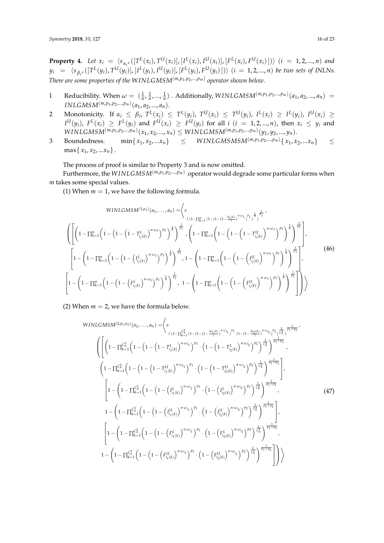**Property 4.** Let  $x_i = \langle s_{\alpha_i}, ([T^L(x_i), T^U(x_i)], [I^L(x_i), I^U(x_i)], [F^L(x_i), F^U(x_i)]) \rangle$   $(i = 1, 2, ..., n)$  and  $y_i \;\; = \;\; \langle s_{\beta_i} , ([T^L(y_i),T^U(y_i)], [I^L(y_i),I^U(y_i)], [F^L(y_i),F^U(y_i)] \rangle \; (i \; = \; 1,2,...,n)$  be two sets of INLNs. *There are some properties of the W INLGMSM*(*m*,*p*<sup>1</sup> ,*p*2,...,*pm*) *operator shown below*.

- 1 Reducibility. When  $\omega = (\frac{1}{n}, \frac{1}{n}, \dots, \frac{1}{n})$ . Additionally,  $WINLGMSM^{(m,p_1,p_2,\dots,p_m)}(a_1, a_2, \dots, a_n)$  $INLGMSM<sup>(m,p<sub>1</sub>,p<sub>2</sub>,...,p<sub>m</sub>)</sup>(a<sub>1</sub>,a<sub>2</sub>,...,a<sub>n</sub>).$
- 2 Monotonicity. If  $\alpha_i \leq \beta_i$ ,  $T^L(x_i) \leq T^L(y_i)$ ,  $T^U(x_i) \leq T^U(y_i)$ ,  $I^L(x_i) \geq I^L(y_i)$ ,  $I^U(x_i) \geq$  $I^U(y_i)$ ,  $F^L(x_i) \geq F^L(y_i)$  and  $F^U(x_i) \geq F^U(y_i)$  for all  $i$   $(i = 1, 2, ..., n)$ , then  $x_i \leq y_i$  and  $\textit{WINLGMSM}^{(m,p_1,p_2,\dots,p_m)}(x_1,x_2,...,x_n) \leq \textit{WINLGMSM}^{(m,p_1,p_2,...,p_m)}(y_1,y_2,...,y_n).$
- 3 Boundedness. min{ *x*<sub>1</sub>, *x*<sub>2</sub>, ...*x*<sub>*n*</sub>} ≤ *WINLGMSMSM*<sup>(*m*,*p*<sub>1</sub>,*p*<sub>2</sub>, ...*y*<sub>*m*</sub>)} ≤</sup>  $max\{x_1, x_2, ... x_n\}$ .

The process of proof is similar to Property 3 and is now omitted.

Furthermore, the *W INLGMSM*(*m*,*p*<sup>1</sup> ,*p*2,...,*pm*) operator would degrade some particular forms when *m* takes some special values.

(1) When  $m = 1$ , we have the following formula.

$$
WINLGMSM^{(1,p_1)}(a_1,...,a_n) = \left\langle s \prod_{l \cdot (1-\prod_{k=1}^n (1-(1-(1-\frac{\theta_1(k)}{l}))^{n\omega_1})^{p_1}} \frac{1}{l!} \right\rangle^{\frac{1}{p_1}} \left\langle \left(1-\prod_{k=1}^n \left(1-\left(1-(1-(1-\frac{\theta_1(k)}{l}))^{n\omega_1})^{p_1} \right)^{\frac{1}{n}}\right)^{\frac{1}{n}} - \left(1-\prod_{k=1}^n \left(1-\left(1-(1-\left(1-\frac{\theta_1(k)}{l_{j}(k)})^{n\omega_1})^{p_1} \right)^{\frac{1}{n}}\right)^{\frac{1}{n}}\right)^{\frac{1}{n}}\right\rangle^{\frac{1}{n}} \right\rangle^{\frac{1}{n}}
$$
\n
$$
\left[1-\left(1-\prod_{k=1}^n \left(1-\left(1-(\frac{1}{l_{j}(k)})^{n\omega_1})^{p_1} \right)^{\frac{1}{n}}\right)^{\frac{1}{n}}\right)^{\frac{1}{n}} - 1-\left(1-\prod_{k=1}^n \left(1-(1-(\frac{1}{l_{j}(k)})^{n\omega_1})^{p_1} \right)^{\frac{1}{n}}\right)^{\frac{1}{n}}\right\rangle^{\frac{1}{n}}
$$
\n
$$
\left[1-\left(1-\prod_{k=1}^n \left(1-(1-(\frac{1}{l_{j}(k)})^{n\omega_1})^{p_1} \right)^{\frac{1}{n}}\right)^{\frac{1}{n}}\right)^{\frac{1}{n}} - 1-\left(1-\prod_{k=1}^n \left(1-(1-(\frac{1}{l_{j}(k)})^{n\omega_1})^{p_1} \right)^{\frac{1}{n}}\right)^{\frac{1}{n}}\right\rangle^{\frac{1}{n}}
$$
\n
$$
\left(1-\left(1-\left(\frac{1}{l_{j}(k)}\right)^{n\omega_1})^{p_1} \right)^{\frac{1}{n}}\right)^{\frac{1}{n}} - 1-\left(1-\prod_{k=1}^n \left(1-(1-(\frac{1}{l_{j}(k)})^{n\omega_1})^{p_1} \right)^{\frac{1}{n}}\right)^{\frac{1}{n}}\right\rangle^{\frac{1}{n}}
$$
\n
$$
\left(1-\
$$

(2) When  $m = 2$ , we have the formula below.

WINLGMSM<sup>(2,p\_1,p\_2)</sup> 
$$
(a_1,...,a_n) = \left\langle s
$$
  
\n
$$
\left\{ \left[ \left( 1 - \prod_{k=1}^{C_n^2} \left( 1 - \left( 1 - \left( 1 - T_{i_1(k)}^{L_{i_1(k)}} \right)^{n \omega_{i_1}} \right)^{p_1} \cdot \left( 1 - \left( 1 - T_{i_2(k)}^{L_{i_2(k)}} \right)^{n \omega_{i_2}} \right)^{p_2} \right)^{\frac{1}{C_n^2}} \right]^{\frac{1}{p_1+p_2}},
$$
\n
$$
\left( \left[ \left( 1 - \prod_{k=1}^{C_n^2} \left( 1 - \left( 1 - \left( 1 - T_{i_1(k)}^{L_{i_1(k)}} \right)^{n \omega_{i_1}} \right)^{p_1} \cdot \left( 1 - \left( 1 - T_{i_2(k)}^{L_{i_2(k)}} \right)^{n \omega_{i_2}} \right)^{p_2} \right)^{\frac{1}{C_n^2}} \right)^{\frac{1}{p_1+p_2}},
$$
\n
$$
\left[ 1 - \left( 1 - \prod_{k=1}^{C_n^2} \left( 1 - \left( 1 - \left( T_{i_1(k)}^{L_{i_1(k)}} \right)^{n \omega_{i_1}} \right)^{p_1} \cdot \left( 1 - \left( T_{i_2(k)}^{L_{i_2(k)}} \right)^{n \omega_{i_2}} \right)^{p_2} \right)^{\frac{1}{C_n^2}} \right)^{\frac{1}{p_1+p_2}},
$$
\n
$$
\left[ 1 - \left( 1 - \prod_{k=1}^{C_n^2} \left( 1 - \left( 1 - \left( T_{i_1(k)}^{L_{i_1(k)}} \right)^{n \omega_{i_1}} \right)^{p_1} \cdot \left( 1 - \left( T_{i_2(k)}^{L_{i_2(k)}} \right)^{n \omega_{i_2}} \right)^{p_2} \right)^{\frac{1}{C_n^2}} \right)^{\frac{1}{p_1+p_2}},
$$
\n
$$
\left[ 1 - \left( 1 - \prod_{k=1}^{C_n^2} \left( 1 - \left( 1 - \left( T_{i_1(k)}^{L_{i_1(k)}} \right)^{n \omega_{i_1}} \right)^{p_
$$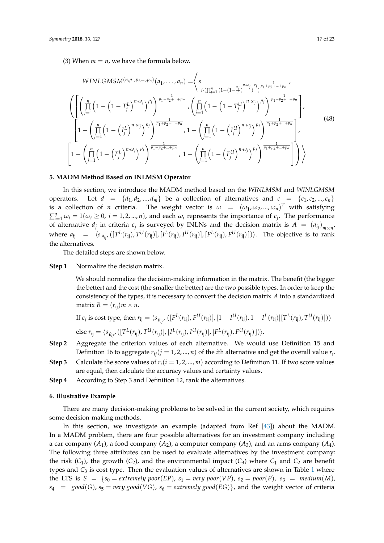(3) When  $m = n$ , we have the formula below.

WINLGMSM<sup>(n,p<sub>1</sub>,p<sub>2</sub>,...,p<sub>n</sub>)</sup>(a<sub>1</sub>,...,a<sub>n</sub>) = 
$$
\left\langle s \frac{1}{\prod_{j=1}^{n} (1 - (1 - \frac{\theta_{j}}{I})^{n \cdot \omega_{j}})^{p_{j}}} \frac{1}{p_{1} + p_{2} + ... + p_{n}} \right\rangle
$$
  
\n
$$
\left( \left[ \left( \prod_{j=1}^{n} \left( 1 - (1 - T_{j}^{L})^{n \cdot \omega_{j}} \right)^{p_{j}} \right)^{\frac{1}{p_{1} + p_{2} + ... + p_{n}}} \right. \left. \left( \prod_{j=1}^{n} \left( 1 - (1 - T_{j}^{L})^{n \cdot \omega_{j}} \right)^{p_{j}} \right)^{\frac{1}{p_{1} + p_{2} + ... + p_{n}}} \right] \right\}
$$
\n
$$
\left[ 1 - \left( \prod_{j=1}^{n} \left( 1 - (I_{j}^{L})^{n \cdot \omega_{j}} \right)^{p_{j}} \right)^{\frac{1}{p_{1} + p_{2} + ... + p_{n}}} \right. \left. 1 - \left( \prod_{j=1}^{n} \left( 1 - (I_{j}^{L})^{n \cdot \omega_{j}} \right)^{p_{j}} \right)^{\frac{1}{p_{1} + p_{2} + ... + p_{n}}} \right] \right\},
$$
\n
$$
\left[ 1 - \left( \prod_{j=1}^{n} \left( 1 - (F_{j}^{L})^{n \cdot \omega_{j}} \right)^{p_{j}} \right)^{\frac{1}{p_{1} + p_{2} + ... + p_{n}}} \right. \left. 1 - \left( \prod_{j=1}^{n} \left( 1 - (F_{j}^{L})^{n \cdot \omega_{j}} \right)^{p_{j}} \right)^{\frac{1}{p_{1} + p_{2} + ... + p_{n}}} \right] \right) \right\rangle
$$
\n
$$
(48)
$$

## <span id="page-16-0"></span>**5. MADM Method Based on INLMSM Operator**

In this section, we introduce the MADM method based on the *WINLMSM* and *WINLGMSM* operators. Let  $d = \{d_1, d_2, ..., d_m\}$  be a collection of alternatives and  $c = \{c_1, c_2, ..., c_n\}$ is a collection of *n* criteria. The weight vector is  $\omega = (\omega_1, \omega_2, ..., \omega_n)^T$  with satisfying  $\sum_{i=1}^{n} \omega_i = 1(\omega_i \ge 0, i = 1, 2, ..., n)$ , and each  $\omega_i$  represents the importance of  $c_j$ . The performance of alternative  $d_j$  in criteria  $c_j$  is surveyed by INLNs and the decision matrix is  $A = (a_{ij})_{m \times n}$ where  $a_{ij} = \langle s_{\theta_{ij'}}([T^L(r_{ij}), T^U(r_{ij})], [I^L(r_{ij}), I^U(r_{ij})], [F^L(r_{ij}), F^U(r_{ij})])\rangle$ . The objective is to rank the alternatives.

The detailed steps are shown below.

## **Step 1** Normalize the decision matrix.

We should normalize the decision-making information in the matrix. The benefit (the bigger the better) and the cost (the smaller the better) are the two possible types. In order to keep the consistency of the types, it is necessary to convert the decision matrix *A* into a standardized matrix  $R = (r_{ii})m \times n$ .

If 
$$
c_j
$$
 is cost type, then  $r_{ij} = \langle s_{\theta_{ij'}} ([F^L(r_{ij}), F^U(r_{ij})], [1 - I^U(r_{ij}), 1 - I^L(r_{ij})][T^L(r_{ij}), T^U(r_{ij})]) \rangle$   
else  $r_{ij} = \langle s_{\theta_{ij'}} ([T^L(r_{ij}), T^U(r_{ij})], [I^L(r_{ij}), I^U(r_{ij})], [F^L(r_{ij}), F^U(r_{ij})]) \rangle$ .

- **Step 2** Aggregate the criterion values of each alternative. We would use Definition 15 and Definition 16 to aggregate  $r_{ij} (j = 1, 2, ..., n)$  of the *i*th alternative and get the overall value  $r_i$ .
- **Step 3** Calculate the score values of  $r_i(i = 1, 2, ..., m)$  according to Definition 11. If two score values are equal, then calculate the accuracy values and certainty values.
- **Step 4** According to Step 3 and Definition 12, rank the alternatives.

## <span id="page-16-1"></span>**6. Illustrative Example**

There are many decision-making problems to be solved in the current society, which requires some decision-making methods.

In this section, we investigate an example (adapted from Ref [\[43\]](#page-22-13)) about the MADM. In a MADM problem, there are four possible alternatives for an investment company including a car company  $(A_1)$ , a food company  $(A_2)$ , a computer company  $(A_3)$ , and an arms company  $(A_4)$ . The following three attributes can be used to evaluate alternatives by the investment company: the risk  $(C_1)$ , the growth  $(C_2)$ , and the environmental impact  $(C_3)$  where  $C_1$  and  $C_2$  are benefit types and  $C_3$  is cost type. Then the evaluation values of alternatives are shown in Table [1](#page-17-0) where the LTS is  $S = \{s_0 = extremely\ poor(EP), s_1 = very\ poor(VP), s_2 = poor(P), s_3 = medium(M),\}$  $s_4 = \text{good}(G)$ ,  $s_5 = \text{very good}(VG)$ ,  $s_6 = \text{extremely good}(EG)$ , and the weight vector of criteria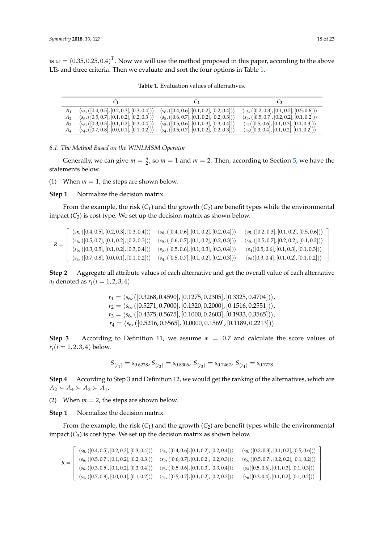<span id="page-17-0"></span>is  $\omega = (0.35, 0.25, 0.4)^T$ . Now we will use the method proposed in this paper, according to the above LTs and three criteria. Then we evaluate and sort the four options in Table [1.](#page-17-0)

|       | -C1                                                          | $C_2$                                                         | $C_3$                                                       |
|-------|--------------------------------------------------------------|---------------------------------------------------------------|-------------------------------------------------------------|
| A1    | $\langle s_5, ([0.4, 0.5], [0.2, 0.3], [0.3, 0.4]) \rangle$  | $\langle s_{6}, ([0.4, 0.6], [0.1, 0.2], [0.2, 0.4]) \rangle$ | $\langle s_5, ([0.2, 0.3], [0.1, 0.2], [0.5, 0.6]) \rangle$ |
| A2    | $\langle s_{6}, (0.5, 0.7], [0.1, 0.2], [0.2, 0.3]) \rangle$ | $\langle s_5, ([0.6, 0.7], [0.1, 0.2], [0.2, 0.3]) \rangle$   | $\langle s_5, ([0.5, 0.7], [0.2, 0.2], [0.1, 0.2]) \rangle$ |
| $A_3$ | $\langle s_6, ([0.3, 0.5], [0.1, 0.2], [0.3, 0.4]) \rangle$  | $\langle s_5, ([0.5, 0.6], [0.1, 0.3], [0.3, 0.4]) \rangle$   | $\langle s_4([0.5, 0.6], [0.1, 0.3], [0.1, 0.3]) \rangle$   |
| $A_4$ | $\langle s_4, ([0.7, 0.8], [0.0, 0.1], [0.1, 0.2]) \rangle$  | $\langle s_4, ([0.5, 0.7], [0.1, 0.2], [0.2, 0.3]) \rangle$   | $\langle s_6([0.3, 0.4], [0.1, 0.2], [0.1, 0.2]) \rangle$   |

**Table 1.** Evaluation values of alternatives.

<span id="page-17-1"></span>*6.1. The Method Based on the WINLMSM Operator*

Generally, we can give  $m = \frac{n}{2}$ , so  $m = 1$  and  $m = 2$ . Then, according to Section [5,](#page-16-0) we have the statements below.

(1) When  $m = 1$ , the steps are shown below.

**Step 1** Normalize the decision matrix.

From the example, the risk  $(C_1)$  and the growth  $(C_2)$  are benefit types while the environmental impact  $(C_3)$  is cost type. We set up the decision matrix as shown below.

 $R =$  $\lceil$  $\begin{array}{c} \begin{array}{c} \begin{array}{c} \begin{array}{c} \end{array} \\ \begin{array}{c} \end{array} \end{array} \end{array} \end{array}$  $\langle s_5,([0.4, 0.5], [0.2, 0.3], [0.3, 0.4])\rangle$   $\langle s_6,([0.4, 0.6], [0.1, 0.2], [0.2, 0.4])\rangle$  $\langle s_6,([0.5, 0.7], [0.1, 0.2], [0.2, 0.3])\rangle$   $\langle s_5,([0.6, 0.7], [0.1, 0.2], [0.2, 0.3])\rangle$  $\langle s_6,([0.3, 0.5], [0.1, 0.2], [0.3, 0.4])\rangle \quad \langle s_5,([0.5, 0.6], [0.1, 0.3], [0.3, 0.4])\rangle$  $\langle s_4,([0.7, 0.8], [0.0, 0.1], [0.1, 0.2])\rangle$   $\langle s_4,([0.5, 0.7], [0.1, 0.2], [0.2, 0.3])\rangle$  $\langle s_5,([0.2, 0.3], [0.1, 0.2], [0.5, 0.6])\rangle$  $\langle s_5,([0.5, 0.7], [0.2, 0.2], [0.1, 0.2])\rangle$  $\langle s_4([0.5, 0.6], [0.1, 0.3], [0.1, 0.3]) \rangle$  $\langle s_6([0.3, 0.4], [0.1, 0.2], [0.1, 0.2]) \rangle$ 1  $\overline{1}$  $\overline{1}$  $\frac{1}{2}$  $\overline{1}$  $\overline{\phantom{a}}$ 

**Step 2** Aggregate all attribute values of each alternative and get the overall value of each alternative *a*<sub>*i*</sub> denoted as  $r_i$  (*i* = 1, 2, 3, 4).

> $r_1 = \langle s_6, ([0.3268, 0.4590], [0.1275, 0.2305], [0.3325, 0.4704]) \rangle,$  $r_2 = \langle s_6, ([0.5271, 0.7000], [0.1320, 0.2000], [0.1516, 0.2551]) \rangle,$  $r_3 = \langle s_6, ([0.4375, 0.5675], [0.1000, 0.2603], [0.1933, 0.3565]) \rangle,$  $r_4 = \langle s_{6}, (0.5216, 0.6565), [0.0000, 0.1569], [0.1189, 0.2213]) \rangle$

**Step 3** According to Definition 11, we assume  $\alpha = 0.7$  and calculate the score values of  $r_i(i = 1, 2, 3, 4)$  below.

$$
S_{(r_1)} = s_{0.6228}, S_{(r_2)} = s_{0.8306}, S_{(r_3)} = s_{0.7462}, S_{(r_4)} = s_{0.7778}
$$

**Step 4** According to Step 3 and Definition 12, we would get the ranking of the alternatives, which are  $A_2 \succ A_4 \succ A_3 \succ A_1$ .

(2) When  $m = 2$ , the steps are shown below.

**Step 1** Normalize the decision matrix.

From the example, the risk  $(C_1)$  and the growth  $(C_2)$  are benefit types while the environmental impact  $(C_3)$  is cost type. We set up the decision matrix as shown below.

 $R =$  $\sqrt{ }$  $\begin{array}{c} \begin{array}{c} \begin{array}{c} \begin{array}{c} \end{array} \\ \begin{array}{c} \end{array} \end{array} \end{array} \end{array}$  $\langle s_5,([0.4, 0.5], [0.2, 0.3], [0.3, 0.4])\rangle$   $\langle s_6,([0.4, 0.6], [0.1, 0.2], [0.2, 0.4])\rangle$  $\langle s_6,([0.5, 0.7], [0.1, 0.2], [0.2, 0.3])\rangle$   $\langle s_5,([0.6, 0.7], [0.1, 0.2], [0.2, 0.3])\rangle$  $\langle s_6,([0.3, 0.5], [0.1, 0.2], [0.3, 0.4])\rangle \quad \langle s_5,([0.5, 0.6], [0.1, 0.3], [0.3, 0.4])\rangle$  $\langle s_4,([0.7, 0.8], [0.0, 0.1], [0.1, 0.2])\rangle$   $\langle s_4,([0.5, 0.7], [0.1, 0.2], [0.2, 0.3])\rangle$  $\langle s_5, ([0.2, 0.3], [0.1, 0.2], [0.5, 0.6]) \rangle$  $\langle s_5, ([0.5, 0.7], [0.2, 0.2], [0.1, 0.2]) \rangle$  $\langle s_4([0.5, 0.6], [0.1, 0.3], [0.1, 0.3]) \rangle$  $\langle s_6([0.3, 0.4], [0.1, 0.2], [0.1, 0.2]) \rangle$ 1  $\overline{1}$  $\overline{1}$  $\overline{1}$  $\overline{1}$  $\overline{\phantom{a}}$  $\overline{1}$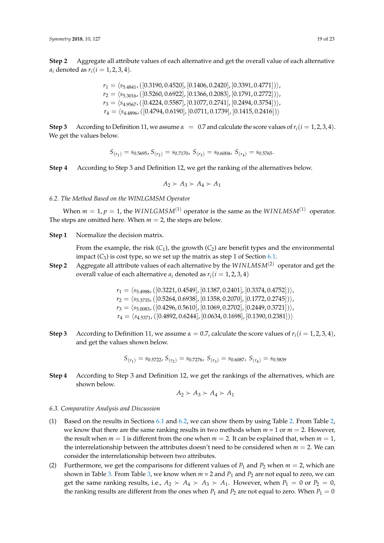**Step 2** Aggregate all attribute values of each alternative and get the overall value of each alternative *a*<sub>*i*</sub> denoted as  $r_i$  (*i* = 1, 2, 3, 4).

$$
r_1 = \langle s_{5.4841}, ([0.3190, 0.4520], [0.1406, 0.2420], [0.3391, 0.4771]) \rangle, \n r_2 = \langle s_{5.3016}, ([0.5260, 0.6922], [0.1366, 0.2083], [0.1791, 0.2772]) \rangle, \n r_3 = \langle s_{4.9567}, ([0.4224, 0.5587], [0.1077, 0.2741], [0.2494, 0.3754]) \rangle, \n r_4 = \langle s_{4.4896}, ([0.4794, 0.6190], [0.0711, 0.1739], [0.1415, 0.2416]) \rangle
$$

**Step 3** According to Definition 11, we assume  $\alpha = 0.7$  and calculate the score values of  $r_i(i = 1, 2, 3, 4)$ . We get the values below.

$$
S_{(r_1)} = s_{0.5695}, S_{(r_2)} = s_{0.7170}, S_{(r_3)} = s_{0.6004}, S_{(r_4)} = s_{0.5765}.
$$

**Step 4** According to Step 3 and Definition 12, we get the ranking of the alternatives below.

$$
A_2 \succ A_3 \succ A_4 \succ A_1
$$

<span id="page-18-0"></span>*6.2. The Method Based on the WINLGMSM Operator*

When  $m = 1$ ,  $p = 1$ , the *WINLGMSM*<sup>(1)</sup> operator is the same as the *WINLMSM*<sup>(1)</sup> operator. The steps are omitted here. When  $m = 2$ , the steps are below.

**Step 1** Normalize the decision matrix.

From the example, the risk  $(C_1)$ , the growth  $(C_2)$  are benefit types and the environmental impact  $(C_3)$  is cost type, so we set up the matrix as step 1 of Section [6.1.](#page-17-1)

**Step 2** Aggregate all attribute values of each alternative by the *W INLMSM*(2) operator and get the overall value of each alternative  $a_i$  denoted as  $r_i$  ( $i = 1, 2, 3, 4$ )

$$
\begin{array}{l} r_1=\langle s_{5.4988}, ([0.3221, 0.4549], [0.1387, 0.2401], [0.3374, 0.4752]) \rangle, \\ r_2=\langle s_{5.3735}, ([0.5264, 0.6938], [0.1358, 0.2070], [0.1772, 0.2745]) \rangle, \\ r_3=\langle s_{5.0083}, ([0.4296, 0.5610], [0.1069, 0.2702], [0.2449, 0.3721]) \rangle, \\ r_4=\langle s_{4.5371}, ([0.4892, 0.6244], [0.0634, 0.1698], [0.1390, 0.2381]) \rangle \end{array}
$$

**Step 3** According to Definition 11, we assume  $\alpha = 0.7$ , calculate the score values of  $r_i(i = 1, 2, 3, 4)$ , and get the values shown below.

$$
S_{(r_1)} = s_{0.5722}, S_{(r_2)} = s_{0.7276}, S_{(r_3)} = s_{0.6087}, S_{(r_4)} = s_{0.5839}
$$

**Step 4** According to Step 3 and Definition 12, we get the rankings of the alternatives, which are shown below.

$$
A_2 \succ A_3 \succ A_4 \succ A_1
$$

## *6.3. Comparative Analysis and Discussion*

- (1) Based on the results in Sections [6.1](#page-17-1) and [6.2,](#page-18-0) we can show them by using Table [2.](#page-19-0) From Table [2,](#page-19-0) we know that there are the same ranking results in two methods when  $m = 1$  or  $m = 2$ . However, the result when  $m = 1$  is different from the one when  $m = 2$ . It can be explained that, when  $m = 1$ , the interrelationship between the attributes doesn't need to be considered when  $m = 2$ . We can consider the interrelationship between two attributes.
- (2) Furthermore, we get the comparisons for different values of  $P_1$  and  $P_2$  when  $m = 2$ , which are shown in Table [3.](#page-19-1) From Table [3,](#page-19-1) we know when  $m = 2$  and  $P_1$  and  $P_2$  are not equal to zero, we can get the same ranking results, i.e.,  $A_2 \succ A_4 \succ A_3 \succ A_1$ . However, when  $P_1 = 0$  or  $P_2 = 0$ , the ranking results are different from the ones when  $P_1$  and  $P_2$  are not equal to zero. When  $P_1 = 0$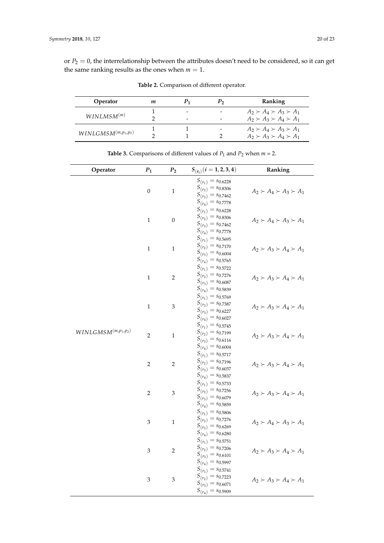<span id="page-19-0"></span>or  $P_2 = 0$ , the interrelationship between the attributes doesn't need to be considered, so it can get the same ranking results as the ones when  $m = 1$ .

| Operator                 | т |                                             | Ranking                                                                    |
|--------------------------|---|---------------------------------------------|----------------------------------------------------------------------------|
| WINLMSM <sup>(m)</sup>   |   | $\qquad \qquad$<br>$\overline{\phantom{a}}$ | $A_2 \succ A_4 \succ A_3 \succ A_1$<br>$A_2 \succ A_3 \succ A_4 \succ A_1$ |
| $WINLGMSM^{(m,p_1,p_2)}$ |   |                                             | $A_2 \succ A_4 \succ A_3 \succ A_1$<br>$A_2 \succ A_3 \succ A_4 \succ A_1$ |

**Table 3.** Comparisons of different values of  $P_1$  and  $P_2$  when  $m = 2$ .

**Table 2.** Comparison of different operator.

<span id="page-19-1"></span>

| Operator                             | $P_1$          | $P_2$            | $S_{(r_i)}$ $(i = 1, 2, 3, 4)$                                                                               | Ranking                             |
|--------------------------------------|----------------|------------------|--------------------------------------------------------------------------------------------------------------|-------------------------------------|
|                                      | $\mathbf{0}$   | $\mathbf{1}$     | $S_{(r_1)} = s_{0.6228}$<br>$S_{(r_2)} = s_{0.8306}$<br>$S_{(r_3)} = s_{0.7462}$<br>$S_{(r_4)} = s_{0.7778}$ | $A_2 \succ A_4 \succ A_3 \succ A_1$ |
|                                      | $\mathbf{1}$   | $\boldsymbol{0}$ | $S_{(r_1)} = s_{0.6228}$<br>$S_{(r_2)} = s_{0.8306}$<br>$S_{(r_3)} = s_{0.7462}$<br>$S_{(r_4)} = s_{0.7778}$ | $A_2 \succ A_4 \succ A_3 \succ A_1$ |
|                                      | $\,1\,$        | $\mathbf{1}$     | $S_{(r_1)} = s_{0.5695}$<br>$S_{(r_2)} = s_{0.7170}$<br>$S_{(r_3)} = s_{0.6004}$<br>$S_{(r_4)} = s_{0.5765}$ | $A_2 \succ A_3 \succ A_4 \succ A_1$ |
|                                      | $\mathbf{1}$   | $\overline{2}$   | $S_{(r_1)} = s_{0.5722}$<br>$S_{(r_2)} = s_{0.7276}$<br>$S_{(r_3)} = s_{0.6087}$<br>$S_{(r_4)} = s_{0.5839}$ | $A_2 \succ A_3 \succ A_4 \succ A_1$ |
|                                      | $\mathbf{1}$   | 3                | $S_{(r_1)} = s_{0.5769}$<br>$S_{(r_2)} = s_{0.7387}$<br>$S_{(r_3)} = s_{0.6227}$<br>$S_{(r_4)} = s_{0.6027}$ | $A_2 \succ A_3 \succ A_4 \succ A_1$ |
| $WINL GMSM^{\left(m,p_1,p_2\right)}$ | $\overline{2}$ | $\,1\,$          | $S_{(r_1)} = s_{0.5745}$<br>$S_{(r_2)} = s_{0.7199}$<br>$S_{(r_3)} = s_{0.6116}$<br>$S_{(r_4)} = s_{0.6004}$ | $A_2 \succ A_3 \succ A_4 \succ A_1$ |
|                                      | $\overline{2}$ | $\overline{2}$   | $S_{(r_1)} = s_{0.5717}$<br>$S_{(r_2)} = s_{0.7196}$<br>$S_{(r_3)} = s_{0.6037}$<br>$S_{(r_4)} = s_{0.5837}$ | $A_2 \succ A_3 \succ A_4 \succ A_1$ |
|                                      | $\overline{2}$ | 3                | $S_{(r_1)} = s_{0.5733}$<br>$S_{(r_2)} = s_{0.7256}$<br>$S_{(r_3)} = s_{0.6079}$<br>$S_{(r_4)} = s_{0.5859}$ | $A_2 \succ A_3 \succ A_4 \succ A_1$ |
|                                      | 3              | $\,1\,$          | $S_{(r_1)} = s_{0.5806}$<br>$S_{(r_2)} = s_{0.7276}$<br>$S_{(r_3)} = s_{0.6269}$<br>$S_{(r_4)} = s_{0.6280}$ | $A_2 \succ A_4 \succ A_3 \succ A_1$ |
|                                      | 3              | $\overline{2}$   | $S_{(r_1)} = s_{0.5751}$<br>$S_{(r_2)} = s_{0.7206}$<br>$S_{(r_3)} = s_{0.6101}$<br>$S_{(r_4)} = s_{0.5997}$ | $A_2 \succ A_3 \succ A_4 \succ A_1$ |
|                                      | 3              | 3                | $S_{(r_1)} = s_{0.5741}$<br>$S_{(r_2)} = s_{0.7223}$<br>$S_{(r_3)} = s_{0.6071}$<br>$S_{(r_4)} = s_{0.5909}$ | $A_2 \succ A_3 \succ A_4 \succ A_1$ |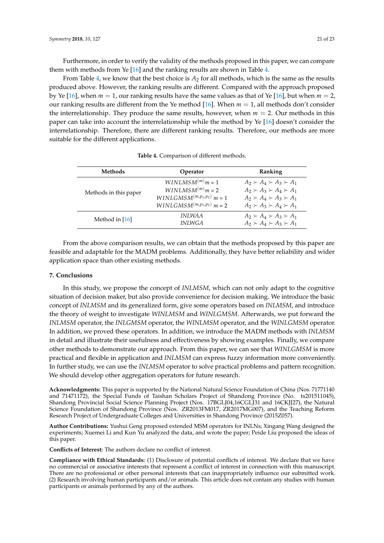Furthermore, in order to verify the validity of the methods proposed in this paper, we can compare them with methods from Ye [\[16\]](#page-21-15) and the ranking results are shown in Table [4.](#page-20-0)

From Table [4,](#page-20-0) we know that the best choice is  $A_2$  for all methods, which is the same as the results produced above. However, the ranking results are different. Compared with the approach proposed by Ye [\[16\]](#page-21-15), when  $m = 1$ , our ranking results have the same values as that of Ye [16], but when  $m = 2$ , our ranking results are different from the Ye method [\[16\]](#page-21-15). When *m* = 1, all methods don't consider the interrelationship. They produce the same results, however, when  $m = 2$ . Our methods in this paper can take into account the interrelationship while the method by Ye [\[16\]](#page-21-15) doesn't consider the interrelationship. Therefore, there are different ranking results. Therefore, our methods are more suitable for the different applications.

<span id="page-20-0"></span>

| Methods               | Operator                                                                                                 | Ranking                                                                                                                                                  |
|-----------------------|----------------------------------------------------------------------------------------------------------|----------------------------------------------------------------------------------------------------------------------------------------------------------|
| Methods in this paper | $WINLMSM(m)m=1$<br>$WINLMSM(m)m=2$<br>$WINLGMSM^{(m,p_1,p_2)}$ $m=1$<br>$WINLGMSM^{(m,p_1,p_2)}$ $m = 2$ | $A_2 \succ A_4 \succ A_3 \succ A_1$<br>$A_2 \succ A_3 \succ A_4 \succ A_1$<br>$A_2 \succ A_4 \succ A_3 \succ A_1$<br>$A_2 \succ A_3 \succ A_4 \succ A_1$ |
| Method in $[16]$      | INLWA A<br><b>INLWGA</b>                                                                                 | $A_2 \succ A_4 \succ A_3 \succ A_1$<br>$A_2 \succ A_4 \succ A_3 \succ A_1$                                                                               |

| Table 4. Comparison of different methods. |  |
|-------------------------------------------|--|
|-------------------------------------------|--|

From the above comparison results, we can obtain that the methods proposed by this paper are feasible and adaptable for the MADM problems. Additionally, they have better reliability and wider application space than other existing methods.

# **7. Conclusions**

In this study, we propose the concept of *INLMSM*, which can not only adapt to the cognitive situation of decision maker, but also provide convenience for decision making. We introduce the basic concept of *INLMSM* and its generalized form, give some operators based on *INLMSM*, and introduce the theory of weight to investigate *WINLMSM* and *WINLGMSM*. Afterwards, we put forward the *INLMSM* operator, the *INLGMSM* operator, the *WINLMSM* operator, and the *WINLGMSM* operator. In addition, we proved these operators. In addition, we introduce the MADM methods with *INLMSM* in detail and illustrate their usefulness and effectiveness by showing examples. Finally, we compare other methods to demonstrate our approach. From this paper, we can see that *WINLGMSM* is more practical and flexible in application and *INLMSM* can express fuzzy information more conveniently. In further study, we can use the *INLMSM* operator to solve practical problems and pattern recognition. We should develop other aggregation operators for future research.

**Acknowledgments:** This paper is supported by the National Natural Science Foundation of China (Nos. 71771140 and 71471172), the Special Funds of Taishan Scholars Project of Shandong Province (No. ts201511045), Shandong Provincial Social Science Planning Project (Nos. 17BGLJ04,16CGLJ31 and 16CKJJ27), the Natural Science Foundation of Shandong Province (Nos. ZR2013FM017, ZR2017MG007), and the Teaching Reform Research Project of Undergraduate Colleges and Universities in Shandong Province (2015Z057).

**Author Contributions:** Yushui Geng proposed extended MSM operators for INLNs; Xingang Wang designed the experiments; Xuemei Li and Kun Yu analyzed the data, and wrote the paper; Peide Liu proposed the ideas of this paper.

**Conflicts of Interest:** The authors declare no conflict of interest.

**Compliance with Ethical Standards:** (1) Disclosure of potential conflicts of interest. We declare that we have no commercial or associative interests that represent a conflict of interest in connection with this manuscript. There are no professional or other personal interests that can inappropriately influence our submitted work. (2) Research involving human participants and/or animals. This article does not contain any studies with human participants or animals performed by any of the authors.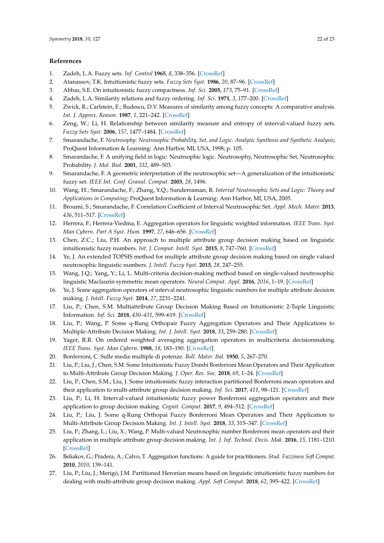## **References**

- <span id="page-21-0"></span>1. Zadeh, L.A. Fuzzy sets. *Inf. Control* **1965**, *8*, 338–356. [\[CrossRef\]](http://dx.doi.org/10.1016/S0019-9958(65)90241-X)
- <span id="page-21-1"></span>2. Atanassov, T.K. Intuitionistic fuzzy sets. *Fuzzy Sets Syst.* **1986**, *20*, 87–96. [\[CrossRef\]](http://dx.doi.org/10.1016/S0165-0114(86)80034-3)
- <span id="page-21-2"></span>3. Abbas, S.E. On intuitionistic fuzzy compactness. *Inf. Sci.* **2005**, *173*, 75–91. [\[CrossRef\]](http://dx.doi.org/10.1016/j.ins.2004.07.004)
- <span id="page-21-3"></span>4. Zadeh, L.A. Similarity relations and fuzzy ordering. *Inf. Sci.* **1971**, *3*, 177–200. [\[CrossRef\]](http://dx.doi.org/10.1016/S0020-0255(71)80005-1)
- <span id="page-21-4"></span>5. Zwick, R.; Carlstein, E.; Budescu, D.V. Measures of similarity among fuzzy concepts: A comparative analysis. *Int. J. Approx. Reason.* **1987**, *1*, 221–242. [\[CrossRef\]](http://dx.doi.org/10.1016/0888-613X(87)90015-6)
- <span id="page-21-5"></span>6. Zeng, W.; Li, H. Relationship between similarity measure and entropy of interval-valued fuzzy sets. *Fuzzy Sets Syst.* **2006**, *157*, 1477–1484. [\[CrossRef\]](http://dx.doi.org/10.1016/j.fss.2005.11.020)
- <span id="page-21-6"></span>7. Smarandache, F. *Neutrosophy: Neutrosophic Probability, Set, and Logic: Analytic Synthesis and Synthetic Analysis*; ProQuest Information & Learning: Ann Harbor, MI, USA, 1998; p. 105.
- <span id="page-21-7"></span>8. Smarandache, F. A unifying field in logic: Neutrsophic logic. Neutrosophy, Neutrosophic Set, Neutrosophic Probability. *J. Mol. Biol.* **2001**, *332*, 489–503.
- <span id="page-21-8"></span>9. Smarandache, F. A geometric interpretation of the neutrosophic set—A generalization of the intuitionistic fuzzy set. *IEEE Int. Conf. Granul. Comput.* **2003**, *28*, 1496.
- <span id="page-21-9"></span>10. Wang, H.; Smarandache, F.; Zhang, Y.Q.; Sunderraman, R. *Interval Neutrosophic Sets and Logic: Theory and Applications in Computing*; ProQuest Information & Learning: Ann Harbor, MI, USA, 2005.
- <span id="page-21-10"></span>11. Broumi, S.; Smarandache, F. Correlation Coefficient of Interval Neutrosophic Set. *Appl. Mech. Mater.* **2013**, *436*, 511–517. [\[CrossRef\]](http://dx.doi.org/10.4028/www.scientific.net/AMM.436.511)
- <span id="page-21-11"></span>12. Herrera, F.; Herrera-Viedma, E. Aggregation operators for linguistic weighted information. *IEEE Trans. Syst. Man Cybern. Part A Syst. Hum.* **1997**, *27*, 646–656. [\[CrossRef\]](http://dx.doi.org/10.1109/3468.618263)
- <span id="page-21-12"></span>13. Chen, Z.C.; Liu, P.H. An approach to multiple attribute group decision making based on linguistic intuitionistic fuzzy numbers. *Int. J. Comput. Intell. Syst.* **2015**, *8*, 747–760. [\[CrossRef\]](http://dx.doi.org/10.1080/18756891.2015.1061394)
- <span id="page-21-13"></span>14. Ye, J. An extended TOPSIS method for multiple attribute group decision making based on single valued neutrosophic linguistic numbers. *J. Intell. Fuzzy Syst.* **2015**, *28*, 247–255.
- <span id="page-21-14"></span>15. Wang, J.Q.; Yang, Y.; Li, L. Multi-criteria decision-making method based on single-valued neutrosophic linguistic Maclaurin symmetric mean operators. *Neural Comput. Appl.* **2016**, *2016*, 1–19. [\[CrossRef\]](http://dx.doi.org/10.1007/s00521-016-2747-0)
- <span id="page-21-15"></span>16. Ye, J. Some aggregation operators of interval neutrosophic linguistic numbers for multiple attribute decision making. *J. Intell. Fuzzy Syst.* **2014**, *27*, 2231–2241.
- <span id="page-21-16"></span>17. Liu, P.; Chen, S.M. Multiattribute Group Decision Making Based on Intuitionistic 2-Tuple Linguistic Information. *Inf. Sci.* **2018**, *430–431*, 599–619. [\[CrossRef\]](http://dx.doi.org/10.1016/j.ins.2017.11.059)
- <span id="page-21-17"></span>18. Liu, P.; Wang, P. Some q-Rung Orthopair Fuzzy Aggregation Operators and Their Applications to Multiple-Attribute Decision Making. *Int. J. Intell. Syst.* **2018**, *33*, 259–280. [\[CrossRef\]](http://dx.doi.org/10.1002/int.21927)
- <span id="page-21-18"></span>19. Yager, R.R. On ordered weighted averaging aggregation operators in multicriteria decisionmaking. *IEEE Trans. Syst. Man Cybern.* **1988**, *18*, 183–190. [\[CrossRef\]](http://dx.doi.org/10.1109/21.87068)
- <span id="page-21-19"></span>20. Bonferroni, C. Sulle medie multiple di potenze. *Boll. Mater. Ital.* **1950**, *5*, 267–270.
- <span id="page-21-20"></span>21. Liu, P.; Liu, J.; Chen, S.M. Some Intuitionistic Fuzzy Dombi Bonferroni Mean Operators and Their Application to Multi-Attribute Group Decision Making. *J. Oper. Res. Soc.* **2018**, *69*, 1–24. [\[CrossRef\]](http://dx.doi.org/10.1057/s41274-017-0190-y)
- <span id="page-21-21"></span>22. Liu, P.; Chen, S.M.; Liu, J. Some intuitionistic fuzzy interaction partitioned Bonferroni mean operators and their application to multi-attribute group decision making. *Inf. Sci.* **2017**, *411*, 98–121. [\[CrossRef\]](http://dx.doi.org/10.1016/j.ins.2017.05.016)
- <span id="page-21-22"></span>23. Liu, P.; Li, H. Interval-valued intuitionistic fuzzy power Bonferroni aggregation operators and their application to group decision making. *Cognit. Comput.* **2017**, *9*, 494–512. [\[CrossRef\]](http://dx.doi.org/10.1007/s12559-017-9453-9)
- <span id="page-21-23"></span>24. Liu, P.; Liu, J. Some q-Rung Orthopai Fuzzy Bonferroni Mean Operators and Their Application to Multi-Attribute Group Decision Making. *Int. J. Intell. Syst.* **2018**, *33*, 315–347. [\[CrossRef\]](http://dx.doi.org/10.1002/int.21933)
- <span id="page-21-24"></span>25. Liu, P.; Zhang, L.; Liu, X.; Wang, P. Multi-valued Neutrosophic number Bonferroni mean operators and their application in multiple attribute group decision making. *Int. J. Inf. Technol. Decis. Mak.* **2016**, *15*, 1181–1210. [\[CrossRef\]](http://dx.doi.org/10.1142/S0219622016500346)
- <span id="page-21-25"></span>26. Beliakov, G.; Pradera, A.; Calvo, T. Aggregation functions: A guide for practitioners. *Stud. Fuzziness Soft Comput.* **2010**, *2010*, 139–141.
- <span id="page-21-26"></span>27. Liu, P.; Liu, J.; Merigó, J.M. Partitioned Heronian means based on linguistic intuitionistic fuzzy numbers for dealing with multi-attribute group decision making. *Appl. Soft Comput.* **2018**, *62*, 395–422. [\[CrossRef\]](http://dx.doi.org/10.1016/j.asoc.2017.10.017)